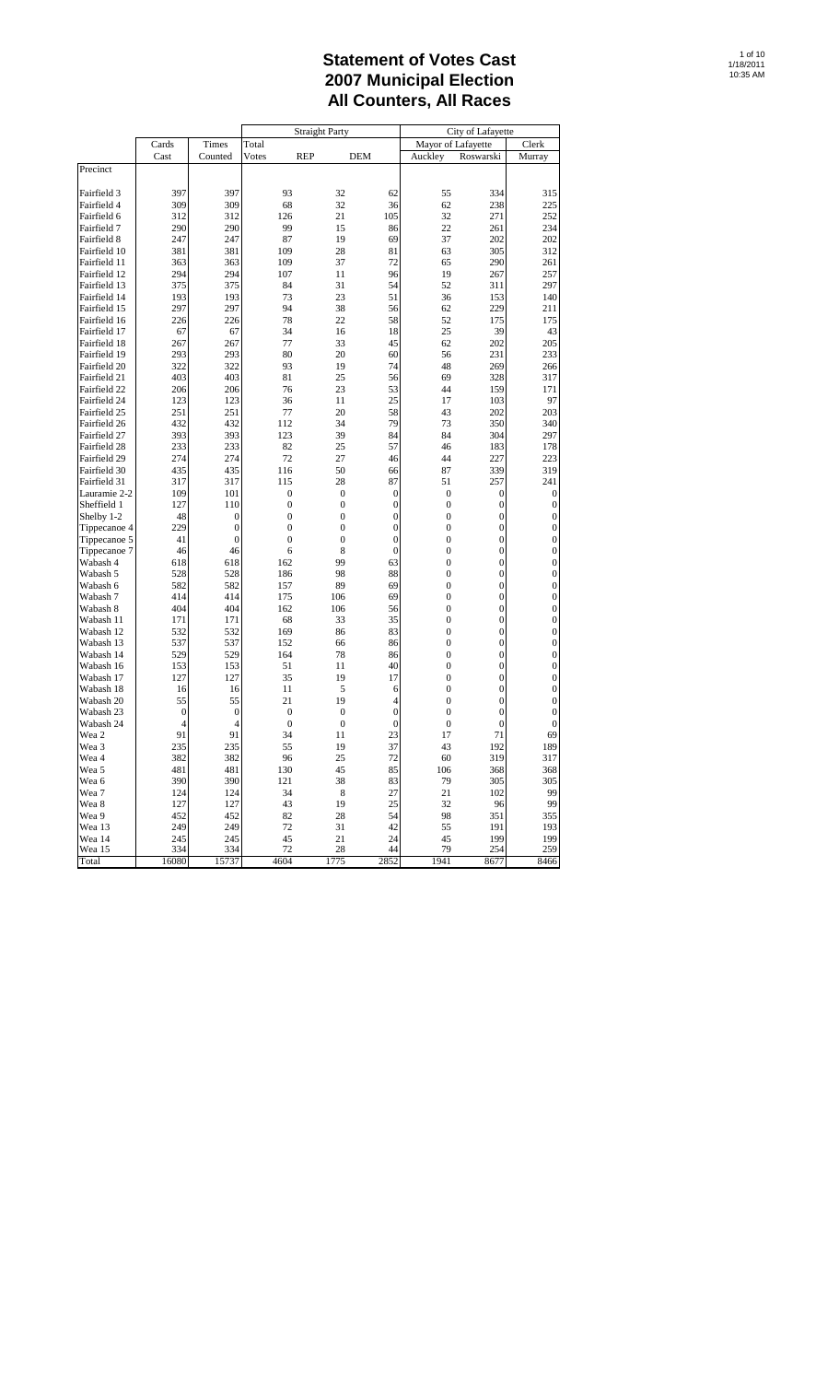|                              |              |            |                  | <b>Straight Party</b> |              |                                  | City of Lafayette          |                                      |
|------------------------------|--------------|------------|------------------|-----------------------|--------------|----------------------------------|----------------------------|--------------------------------------|
|                              | Cards        | Times      | Total            |                       |              | Mayor of Lafayette               |                            | Clerk                                |
|                              | Cast         | Counted    | Votes            | <b>REP</b>            | <b>DEM</b>   | Auckley                          | Roswarski                  | Murray                               |
| Precinct                     |              |            |                  |                       |              |                                  |                            |                                      |
| Fairfield 3                  | 397          | 397        | 93               | 32                    | 62           | 55                               | 334                        | 315                                  |
| Fairfield 4                  | 309          | 309        | 68               | 32                    | 36           | 62                               | 238                        | 225                                  |
| Fairfield 6                  | 312          | 312        | 126              | 21                    | 105          | 32                               | 271                        | 252                                  |
| Fairfield 7                  | 290          | 290        | 99               | 15                    | 86           | 22                               | 261                        | 234                                  |
| Fairfield 8                  | 247          | 247        | 87               | 19                    | 69           | 37                               | 202                        | 202                                  |
| Fairfield 10                 | 381          | 381        | 109              | 28                    | 81           | 63                               | 305                        | 312                                  |
| Fairfield 11                 | 363          | 363        | 109              | 37                    | 72           | 65                               | 290                        | 261                                  |
| Fairfield 12                 | 294          | 294        | 107              | 11                    | 96           | 19                               | 267                        | 257                                  |
| Fairfield 13                 | 375          | 375        | 84               | 31                    | 54           | 52                               | 311                        | 297                                  |
| Fairfield 14                 | 193          | 193        | 73               | 23                    | 51           | 36                               | 153                        | 140                                  |
| Fairfield 15                 | 297          | 297        | 94               | 38                    | 56           | 62                               | 229                        | 211                                  |
| Fairfield 16                 | 226          | 226        | 78               | 22                    | 58           | 52                               | 175                        | 175                                  |
| Fairfield 17                 | 67           | 67         | 34               | 16                    | 18           | 25                               | 39                         | 43                                   |
| Fairfield 18                 | 267          | 267        | 77               | 33                    | 45           | 62                               | 202                        | 205                                  |
| Fairfield 19                 | 293          | 293        | 80               | 20                    | 60           | 56                               | 231                        | 233                                  |
| Fairfield 20                 | 322          | 322        | 93               | 19                    | 74           | 48                               | 269                        | 266                                  |
| Fairfield 21                 | 403          | 403        | 81               | 25                    | 56           | 69                               | 328                        | 317                                  |
| Fairfield 22                 | 206          | 206        | 76               | 23                    | 53           | 44                               | 159                        | 171                                  |
| Fairfield 24<br>Fairfield 25 | 123          | 123        | 36<br>77         | 11<br>20              | 25           | 17                               | 103                        | 97                                   |
| Fairfield 26                 | 251<br>432   | 251<br>432 | 112              | 34                    | 58<br>79     | 43<br>73                         | 202<br>350                 | 203<br>340                           |
| Fairfield 27                 | 393          | 393        | 123              | 39                    | 84           | 84                               | 304                        | 297                                  |
| Fairfield 28                 | 233          | 233        | 82               | 25                    | 57           | 46                               | 183                        | 178                                  |
| Fairfield 29                 | 274          | 274        | 72               | 27                    | 46           | 44                               | 227                        | 223                                  |
| Fairfield 30                 | 435          | 435        | 116              | 50                    | 66           | 87                               | 339                        | 319                                  |
| Fairfield 31                 | 317          | 317        | 115              | 28                    | 87           | 51                               | 257                        | 241                                  |
| Lauramie 2-2                 | 109          | 101        | $\boldsymbol{0}$ | $\boldsymbol{0}$      | $\mathbf{0}$ | $\boldsymbol{0}$                 | $\boldsymbol{0}$           | $\boldsymbol{0}$                     |
| Sheffield 1                  | 127          | 110        | $\mathbf{0}$     | $\boldsymbol{0}$      | 0            | $\boldsymbol{0}$                 | $\mathbf 0$                | $\boldsymbol{0}$                     |
| Shelby 1-2                   | 48           | $\bf{0}$   | 0                | $\boldsymbol{0}$      | $\mathbf{0}$ | $\boldsymbol{0}$                 | $\mathbf 0$                | $\boldsymbol{0}$                     |
| Tippecanoe 4                 | 229          | $\bf{0}$   | $\mathbf{0}$     | $\mathbf{0}$          | $\bf{0}$     | $\mathbf{0}$                     | $\boldsymbol{0}$           | $\boldsymbol{0}$                     |
| Tippecanoe 5                 | 41           | $\bf{0}$   | $\mathbf{0}$     | $\mathbf{0}$          | $\bf{0}$     | $\boldsymbol{0}$                 | $\mathbf 0$                | $\boldsymbol{0}$                     |
| Tippecanoe 7                 | 46           | 46         | 6                | 8                     | 0            | $\boldsymbol{0}$                 | $\mathbf 0$                | $\boldsymbol{0}$                     |
| Wabash 4                     | 618          | 618        | 162              | 99                    | 63           | $\boldsymbol{0}$                 | $\boldsymbol{0}$           | $\boldsymbol{0}$                     |
| Wabash 5                     | 528          | 528        | 186              | 98                    | 88           | $\boldsymbol{0}$                 | $\mathbf{0}$               | $\boldsymbol{0}$                     |
| Wabash 6                     | 582          | 582        | 157              | 89                    | 69           | $\mathbf{0}$                     | $\boldsymbol{0}$           | $\boldsymbol{0}$                     |
| Wabash 7                     | 414          | 414        | 175              | 106                   | 69           | $\boldsymbol{0}$                 | $\mathbf 0$                | $\boldsymbol{0}$                     |
| Wabash 8                     | 404          | 404        | 162              | 106                   | 56           | $\boldsymbol{0}$                 | $\mathbf 0$                | $\boldsymbol{0}$                     |
| Wabash 11                    | 171          | 171        | 68               | 33                    | 35           | $\boldsymbol{0}$                 | $\boldsymbol{0}$           | $\boldsymbol{0}$                     |
| Wabash 12                    | 532          | 532        | 169              | 86                    | 83           | $\mathbf{0}$                     | $\mathbf{0}$               | $\boldsymbol{0}$                     |
| Wabash 13<br>Wabash 14       | 537<br>529   | 537<br>529 | 152<br>164       | 66<br>78              | 86<br>86     | $\mathbf{0}$<br>$\boldsymbol{0}$ | $\mathbf 0$<br>$\mathbf 0$ | $\boldsymbol{0}$<br>$\boldsymbol{0}$ |
| Wabash 16                    | 153          | 153        | 51               | 11                    | 40           | $\boldsymbol{0}$                 | $\mathbf 0$                | $\boldsymbol{0}$                     |
| Wabash 17                    | 127          | 127        | 35               | 19                    | 17           | $\boldsymbol{0}$                 | $\boldsymbol{0}$           | $\boldsymbol{0}$                     |
| Wabash 18                    | 16           | 16         | 11               | 5                     | 6            | $\boldsymbol{0}$                 | $\mathbf 0$                | $\boldsymbol{0}$                     |
| Wabash 20                    | 55           | 55         | 21               | 19                    | 4            | $\mathbf{0}$                     | $\boldsymbol{0}$           | $\boldsymbol{0}$                     |
| Wabash 23                    | $\mathbf{0}$ | $\bf{0}$   | $\mathbf{0}$     | $\boldsymbol{0}$      | 0            | $\boldsymbol{0}$                 | $\mathbf 0$                | $\boldsymbol{0}$                     |
| Wabash 24                    | 4            | 4          | $\mathbf{0}$     | $\boldsymbol{0}$      | 0            | $\boldsymbol{0}$                 | 0                          | $\boldsymbol{0}$                     |
| Wea 2                        | 91           | 91         | 34               | 11                    | 23           | 17                               | 71                         | 69                                   |
| Wea 3                        | 235          | 235        | 55               | 19                    | 37           | 43                               | 192                        | 189                                  |
| Wea 4                        | 382          | 382        | 96               | 25                    | 72           | 60                               | 319                        | 317                                  |
| Wea 5                        | 481          | 481        | 130              | 45                    | 85           | 106                              | 368                        | 368                                  |
| Wea 6                        | 390          | 390        | 121              | 38                    | 83           | 79                               | 305                        | 305                                  |
| Wea 7                        | 124          | 124        | 34               | 8                     | 27           | 21                               | 102                        | 99                                   |
| Wea 8                        | 127          | 127        | 43               | 19                    | 25           | 32                               | 96                         | 99                                   |
| Wea 9                        | 452          | 452        | 82               | 28                    | 54           | 98                               | 351                        | 355                                  |
| Wea 13                       | 249          | 249        | 72               | 31                    | 42           | 55                               | 191                        | 193                                  |
| Wea 14                       | 245          | 245        | 45               | 21                    | 24           | 45                               | 199                        | 199                                  |
| Wea 15                       | 334          | 334        | 72               | 28                    | 44           | 79                               | 254                        | 259                                  |
| Total                        | 16080        | 15737      | 4604             | 1775                  | 2852         | 1941                             | 8677                       | 8466                                 |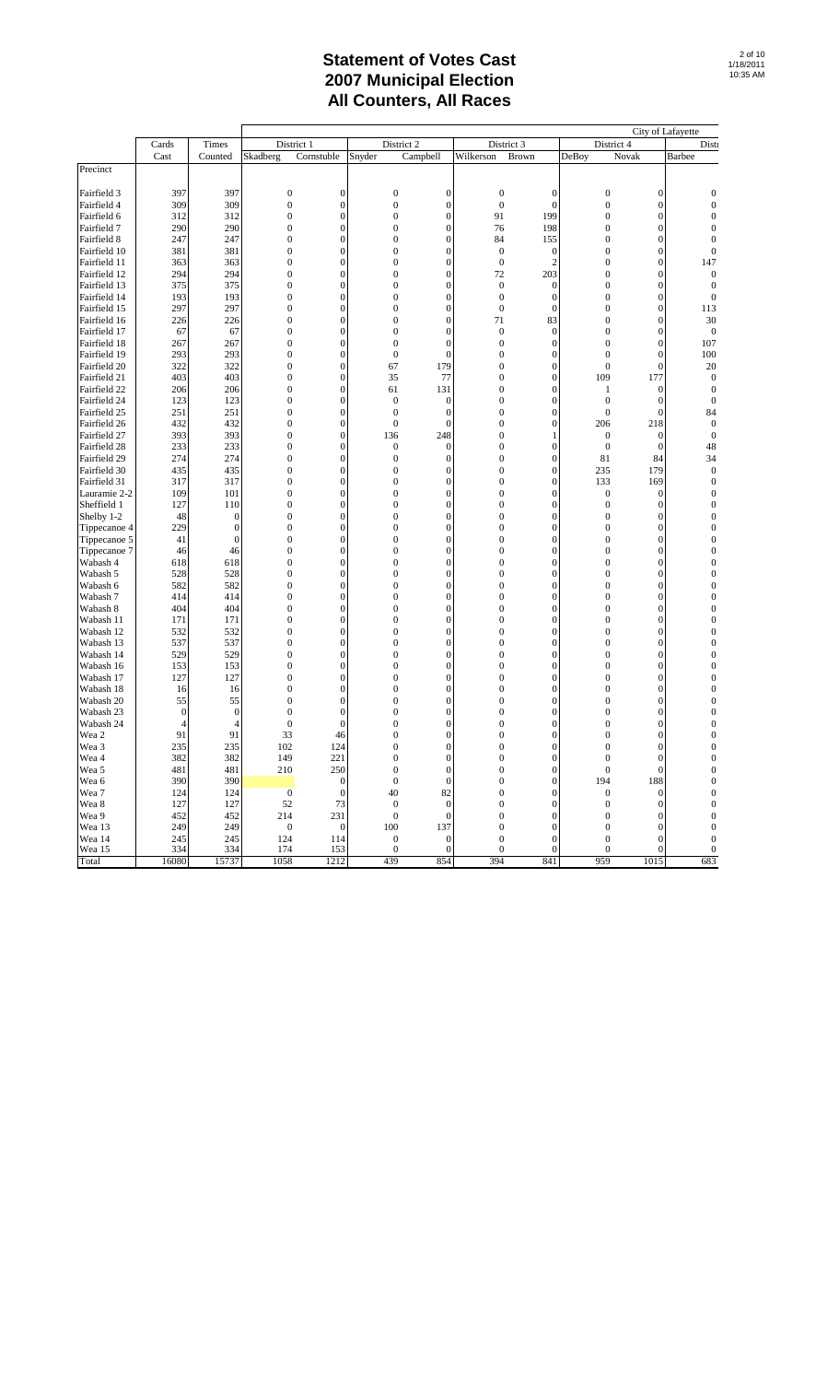|                        |                  |                  |                                |                                    |                                  |                                    |                                  |                                    |                                  |                                    | City of Lafayette                  |
|------------------------|------------------|------------------|--------------------------------|------------------------------------|----------------------------------|------------------------------------|----------------------------------|------------------------------------|----------------------------------|------------------------------------|------------------------------------|
|                        | Cards            | Times            |                                | District 1                         |                                  | District 2                         |                                  | District 3                         | District 4                       |                                    | Disti                              |
|                        | Cast             | Counted          | Skadberg                       | Cornstuble                         | Snyder                           | Campbell                           | Wilkerson                        | Brown                              | DeBoy                            | Novak                              | Barbee                             |
| Precinct               |                  |                  |                                |                                    |                                  |                                    |                                  |                                    |                                  |                                    |                                    |
| Fairfield 3            | 397              | 397              | $\boldsymbol{0}$               | $\boldsymbol{0}$                   | $\boldsymbol{0}$                 | $\overline{0}$                     | $\boldsymbol{0}$                 | $\mathbf{0}$                       | $\boldsymbol{0}$                 | $\overline{0}$                     | $\mathbf 0$                        |
| Fairfield 4            | 309              | 309              | $\boldsymbol{0}$               | $\boldsymbol{0}$                   | $\boldsymbol{0}$                 | $\mathbf{0}$                       | $\mathbf{0}$                     | $\mathbf{0}$                       | $\mathbf{0}$                     | $\mathbf{0}$                       | $\mathbf 0$                        |
| Fairfield 6            | 312              | 312              | $\boldsymbol{0}$               | $\boldsymbol{0}$                   | $\boldsymbol{0}$                 | $\boldsymbol{0}$                   | 91                               | 199                                | $\mathbf{0}$                     | $\boldsymbol{0}$                   | $\mathbf{0}$                       |
| Fairfield 7            | 290              | 290              | $\overline{0}$                 | $\overline{0}$                     | $\boldsymbol{0}$                 | $\overline{0}$                     | 76                               | 198                                | $\overline{0}$                   | $\overline{0}$                     | $\overline{0}$                     |
| Fairfield 8            | 247              | 247              | $\mathbf{0}$                   | $\boldsymbol{0}$                   | $\mathbf{0}$                     | $\mathbf{0}$                       | 84                               | 155                                | $\mathbf{0}$                     | $\mathbf{0}$                       | $\mathbf{0}$                       |
| Fairfield 10           | 381              | 381              | $\overline{0}$                 | $\overline{0}$                     | $\mathbf{0}$                     | $\overline{0}$                     | $\boldsymbol{0}$                 | $\mathbf{0}$                       | $\mathbf{0}$                     | $\overline{0}$                     | $\mathbf{0}$                       |
| Fairfield 11           | 363              | 363              | $\bf{0}$                       | $\boldsymbol{0}$                   | $\bf{0}$                         | $\boldsymbol{0}$                   | $\boldsymbol{0}$                 | $\overline{2}$                     | $\boldsymbol{0}$                 | $\overline{0}$                     | 147                                |
| Fairfield 12           | 294              | 294              | $\boldsymbol{0}$               | $\boldsymbol{0}$                   | $\boldsymbol{0}$                 | $\boldsymbol{0}$                   | 72                               | 203                                | $\boldsymbol{0}$                 | $\boldsymbol{0}$                   | $\boldsymbol{0}$                   |
| Fairfield 13           | 375              | 375              | $\overline{0}$                 | $\overline{0}$                     | $\overline{0}$                   | $\overline{0}$                     | $\boldsymbol{0}$                 | $\overline{0}$                     | $\mathbf{0}$                     | $\overline{0}$                     | $\mathbf{0}$                       |
| Fairfield 14           | 193              | 193              | $\mathbf{0}$                   | $\boldsymbol{0}$                   | $\boldsymbol{0}$                 | $\boldsymbol{0}$                   | $\boldsymbol{0}$                 | $\boldsymbol{0}$                   | $\mathbf{0}$                     | $\boldsymbol{0}$                   | $\boldsymbol{0}$                   |
| Fairfield 15           | 297              | 297              | $\overline{0}$                 | $\overline{0}$                     | $\mathbf{0}$                     | $\overline{0}$                     | $\boldsymbol{0}$                 | $\overline{0}$                     | $\mathbf{0}$                     | $\overline{0}$                     | 113                                |
| Fairfield 16           | 226              | 226              | $\boldsymbol{0}$               | $\boldsymbol{0}$                   | $\boldsymbol{0}$                 | $\boldsymbol{0}$                   | 71                               | 83                                 | $\boldsymbol{0}$                 | $\boldsymbol{0}$                   | 30                                 |
| Fairfield 17           | 67               | 67               | $\mathbf{0}$                   | $\boldsymbol{0}$                   | $\boldsymbol{0}$                 | $\boldsymbol{0}$                   | $\mathbf{0}$                     | $\boldsymbol{0}$                   | $\boldsymbol{0}$                 | $\boldsymbol{0}$                   | $\boldsymbol{0}$                   |
| Fairfield 18           | 267              | 267              | $\overline{0}$                 | $\overline{0}$                     | $\boldsymbol{0}$                 | $\overline{0}$                     | $\boldsymbol{0}$                 | $\mathbf{0}$                       | $\mathbf{0}$                     | $\overline{0}$                     | 107                                |
| Fairfield 19           | 293              | 293              | $\mathbf{0}$                   | $\boldsymbol{0}$                   | $\boldsymbol{0}$                 | $\mathbf{0}$                       | $\mathbf{0}$                     | $\mathbf{0}$                       | $\mathbf{0}$                     | $\boldsymbol{0}$                   | 100                                |
| Fairfield 20           | 322              | 322              | $\overline{0}$                 | $\overline{0}$                     | 67                               | 179                                | $\mathbf{0}$                     | $\overline{0}$                     | $\mathbf{0}$                     | $\boldsymbol{0}$                   | 20                                 |
| Fairfield 21           | 403              | 403              | $\bf{0}$                       | $\boldsymbol{0}$                   | 35                               | 77                                 | $\boldsymbol{0}$                 | 0                                  | 109                              | 177                                | $\boldsymbol{0}$                   |
| Fairfield 22           | 206              | 206              | $\mathbf{0}$                   | $\boldsymbol{0}$                   | 61                               | 131                                | $\boldsymbol{0}$                 | $\boldsymbol{0}$                   | 1                                | $\boldsymbol{0}$                   | $\boldsymbol{0}$                   |
| Fairfield 24           | 123              | 123              | $\overline{0}$                 | $\overline{0}$                     | $\boldsymbol{0}$                 | $\mathbf{0}$                       | $\mathbf{0}$                     | $\overline{0}$                     | $\boldsymbol{0}$                 | $\boldsymbol{0}$                   | $\boldsymbol{0}$                   |
| Fairfield 25           | 251              | 251              | $\mathbf{0}$                   | $\boldsymbol{0}$                   | $\boldsymbol{0}$                 | $\mathbf{0}$                       | $\mathbf{0}$                     | $\mathbf{0}$                       | $\boldsymbol{0}$                 | $\boldsymbol{0}$                   | 84                                 |
| Fairfield 26           | 432              | 432              | $\overline{0}$                 | $\overline{0}$                     | $\mathbf{0}$                     | $\overline{0}$                     | $\overline{0}$                   | $\overline{0}$                     | 206                              | 218                                | $\boldsymbol{0}$                   |
| Fairfield 27           | 393              | 393              | $\mathbf{0}$                   | $\boldsymbol{0}$                   | 136                              | 248                                | $\boldsymbol{0}$                 | $\mathbf{1}$                       | $\boldsymbol{0}$                 | $\mathbf{0}$                       | $\boldsymbol{0}$                   |
| Fairfield 28           | 233              | 233              | $\mathbf{0}$                   | $\boldsymbol{0}$                   | $\boldsymbol{0}$                 | $\mathbf{0}$                       | $\boldsymbol{0}$                 | $\boldsymbol{0}$                   | $\boldsymbol{0}$                 | $\boldsymbol{0}$                   | 48                                 |
| Fairfield 29           | 274              | 274              | $\overline{0}$                 | $\overline{0}$                     | $\boldsymbol{0}$                 | $\mathbf{0}$                       | $\mathbf{0}$                     | $\mathbf{0}$                       | 81                               | 84                                 | 34                                 |
| Fairfield 30           | 435              | 435              | $\mathbf{0}$                   | $\boldsymbol{0}$                   | $\boldsymbol{0}$                 | $\boldsymbol{0}$                   | $\boldsymbol{0}$                 | $\boldsymbol{0}$                   | 235                              | 179                                | $\boldsymbol{0}$                   |
| Fairfield 31           | 317              | 317              | $\overline{0}$                 | $\overline{0}$                     | $\boldsymbol{0}$                 | $\overline{0}$                     | $\mathbf{0}$                     | $\mathbf{0}$                       | 133                              | 169                                | $\boldsymbol{0}$                   |
| Lauramie 2-2           | 109              | 101              | $\boldsymbol{0}$               | $\boldsymbol{0}$                   | $\bf{0}$                         | $\mathbf{0}$                       | $\boldsymbol{0}$                 | $\boldsymbol{0}$                   | $\boldsymbol{0}$                 | $\boldsymbol{0}$                   | $\mathbf 0$                        |
| Sheffield 1            | 127              | 110              | $\mathbf{0}$                   | $\boldsymbol{0}$                   | $\boldsymbol{0}$                 | $\boldsymbol{0}$                   | $\boldsymbol{0}$                 | $\boldsymbol{0}$                   | $\boldsymbol{0}$                 | $\boldsymbol{0}$                   | $\mathbf{0}$                       |
| Shelby 1-2             | 48               | $\boldsymbol{0}$ | $\overline{0}$                 | $\overline{0}$                     | $\overline{0}$                   | $\overline{0}$                     | $\overline{0}$                   | $\overline{0}$                     | $\mathbf{0}$                     | $\mathbf{0}$                       | $\mathbf{0}$                       |
| Tippecanoe 4           | 229              | $\boldsymbol{0}$ | $\overline{0}$                 | $\boldsymbol{0}$                   | $\boldsymbol{0}$                 | $\boldsymbol{0}$                   | $\mathbf{0}$                     | $\boldsymbol{0}$                   | $\boldsymbol{0}$                 | $\boldsymbol{0}$                   | $\boldsymbol{0}$                   |
| Tippecanoe 5           | 41               | $\overline{0}$   | $\overline{0}$                 | $\overline{0}$                     | $\mathbf{0}$                     | $\overline{0}$                     | $\overline{0}$                   | $\overline{0}$                     | $\mathbf{0}$                     | $\overline{0}$                     | $\overline{0}$                     |
| Tippecanoe 7           | 46               | 46               | $\boldsymbol{0}$               | $\boldsymbol{0}$                   | $\bf{0}$                         | $\mathbf{0}$                       | $\boldsymbol{0}$                 | $\boldsymbol{0}$                   | $\boldsymbol{0}$                 | $\boldsymbol{0}$                   | $\mathbf 0$                        |
| Wabash 4               | 618              | 618              | $\boldsymbol{0}$               | $\boldsymbol{0}$                   | $\boldsymbol{0}$                 | $\boldsymbol{0}$                   | $\boldsymbol{0}$                 | $\boldsymbol{0}$                   | $\boldsymbol{0}$                 | $\boldsymbol{0}$                   | $\mathbf{0}$                       |
| Wabash 5               | 528              | 528              | $\overline{0}$                 | $\overline{0}$                     | $\boldsymbol{0}$                 | $\overline{0}$                     | $\overline{0}$                   | $\overline{0}$                     | $\overline{0}$                   | $\overline{0}$                     | $\overline{0}$                     |
| Wabash 6               | 582              | 582              | $\mathbf{0}$                   | $\boldsymbol{0}$                   | $\mathbf{0}$                     | $\boldsymbol{0}$                   | $\mathbf{0}$                     | $\boldsymbol{0}$                   | $\mathbf{0}$                     | $\boldsymbol{0}$                   | $\boldsymbol{0}$                   |
| Wabash 7               | 414              | 414              | $\overline{0}$                 | $\overline{0}$                     | $\mathbf{0}$                     | $\overline{0}$                     | $\mathbf{0}$                     | $\overline{0}$                     | $\mathbf{0}$                     | $\overline{0}$                     | $\overline{0}$                     |
| Wabash 8               | 404              | 404              | $\mathbf{0}$                   | $\boldsymbol{0}$                   | $\bf{0}$                         | $\overline{0}$                     | $\boldsymbol{0}$                 | $\boldsymbol{0}$                   | $\boldsymbol{0}$                 | $\boldsymbol{0}$                   | $\mathbf 0$                        |
| Wabash 11              | 171              | 171              | $\mathbf{0}$                   | $\boldsymbol{0}$                   | $\boldsymbol{0}$                 | $\boldsymbol{0}$                   | $\boldsymbol{0}$                 | $\boldsymbol{0}$                   | $\boldsymbol{0}$                 | $\boldsymbol{0}$                   | $\mathbf{0}$                       |
| Wabash 12              | 532              | 532              | $\overline{0}$                 | $\overline{0}$                     | $\overline{0}$                   | $\overline{0}$                     | $\overline{0}$                   | $\mathbf{0}$                       | $\mathbf{0}$                     | $\mathbf{0}$                       | $\mathbf{0}$                       |
| Wabash 13<br>Wabash 14 | 537<br>529       | 537<br>529       | $\mathbf{0}$<br>$\overline{0}$ | $\boldsymbol{0}$<br>$\overline{0}$ | $\boldsymbol{0}$<br>$\mathbf{0}$ | $\boldsymbol{0}$<br>$\overline{0}$ | $\boldsymbol{0}$<br>$\mathbf{0}$ | $\boldsymbol{0}$<br>$\overline{0}$ | $\boldsymbol{0}$<br>$\mathbf{0}$ | $\boldsymbol{0}$<br>$\overline{0}$ | $\boldsymbol{0}$<br>$\overline{0}$ |
| Wabash 16              | 153              | 153              | $\boldsymbol{0}$               | $\boldsymbol{0}$                   | $\boldsymbol{0}$                 | $\mathbf{0}$                       | $\boldsymbol{0}$                 | $\boldsymbol{0}$                   | $\boldsymbol{0}$                 | $\boldsymbol{0}$                   | $\mathbf{0}$                       |
| Wabash 17              | 127              | 127              | $\mathbf{0}$                   | $\boldsymbol{0}$                   | $\boldsymbol{0}$                 | $\boldsymbol{0}$                   | $\boldsymbol{0}$                 | $\boldsymbol{0}$                   | $\boldsymbol{0}$                 | $\boldsymbol{0}$                   | $\mathbf{0}$                       |
| Wabash 18              | 16               | 16               | $\overline{0}$                 | $\overline{0}$                     | $\boldsymbol{0}$                 | $\overline{0}$                     | $\mathbf{0}$                     | $\overline{0}$                     | $\overline{0}$                   | $\overline{0}$                     | $\overline{0}$                     |
| Wabash 20              | 55               | 55               | $\mathbf{0}$                   | $\bf{0}$                           | $\boldsymbol{0}$                 | $\boldsymbol{0}$                   | $\boldsymbol{0}$                 | $\boldsymbol{0}$                   | $\boldsymbol{0}$                 | $\boldsymbol{0}$                   | 0                                  |
| Wabash 23              | $\boldsymbol{0}$ | $\mathbf{0}$     | $\overline{0}$                 | $\overline{0}$                     | $\overline{0}$                   | $\overline{0}$                     | $\overline{0}$                   | $\overline{0}$                     | $\overline{0}$                   | $\overline{0}$                     | $\overline{0}$                     |
| Wabash 24              | $\overline{4}$   | $\overline{4}$   | $\bf{0}$                       | $\overline{0}$                     | $\bf{0}$                         | 0                                  | $\mathbf 0$                      | 0                                  | 0                                | 0                                  | $\mathbf 0$                        |
| Wea 2                  | 91               | 91               | 33                             | 46                                 | $\theta$                         | $\overline{0}$                     | $\theta$                         | $\overline{0}$                     | $\theta$                         | $\overline{0}$                     | $\theta$                           |
| Wea 3                  | 235              | 235              | 102                            | 124                                | $\boldsymbol{0}$                 | $\boldsymbol{0}$                   | $\boldsymbol{0}$                 | $\boldsymbol{0}$                   | $\boldsymbol{0}$                 | $\boldsymbol{0}$                   | $\boldsymbol{0}$                   |
| Wea 4                  | 382              | 382              | 149                            | 221                                | $\boldsymbol{0}$                 | $\boldsymbol{0}$                   | $\boldsymbol{0}$                 | $\boldsymbol{0}$                   | $\boldsymbol{0}$                 | $\boldsymbol{0}$                   | $\boldsymbol{0}$                   |
| Wea 5                  | 481              | 481              | 210                            | 250                                | $\boldsymbol{0}$                 | $\boldsymbol{0}$                   | $\boldsymbol{0}$                 | $\mathbf{0}$                       | $\boldsymbol{0}$                 | $\boldsymbol{0}$                   | $\mathbf{0}$                       |
| Wea 6                  | 390              | 390              |                                | $\boldsymbol{0}$                   | $\boldsymbol{0}$                 | $\boldsymbol{0}$                   | $\boldsymbol{0}$                 | $\boldsymbol{0}$                   | 194                              | 188                                | $\boldsymbol{0}$                   |
| Wea 7                  | 124              | 124              | $\boldsymbol{0}$               | $\mathbf{0}$                       | 40                               | 82                                 | $\boldsymbol{0}$                 | $\boldsymbol{0}$                   | $\boldsymbol{0}$                 | $\boldsymbol{0}$                   | $\boldsymbol{0}$                   |
| Wea 8                  | 127              | 127              | 52                             | 73                                 | $\boldsymbol{0}$                 | $\boldsymbol{0}$                   | $\boldsymbol{0}$                 | $\boldsymbol{0}$                   | $\boldsymbol{0}$                 | $\boldsymbol{0}$                   | $\boldsymbol{0}$                   |
| Wea 9                  | 452              | 452              | 214                            | 231                                | $\boldsymbol{0}$                 | $\boldsymbol{0}$                   | $\boldsymbol{0}$                 | $\boldsymbol{0}$                   | $\boldsymbol{0}$                 | $\boldsymbol{0}$                   | $\boldsymbol{0}$                   |
| Wea 13                 | 249              | 249              | $\boldsymbol{0}$               | $\boldsymbol{0}$                   | 100                              | 137                                | $\boldsymbol{0}$                 | $\boldsymbol{0}$                   | $\boldsymbol{0}$                 | $\overline{0}$                     | $\boldsymbol{0}$                   |
| Wea 14                 | 245              | 245              | 124                            | 114                                | $\boldsymbol{0}$                 | $\boldsymbol{0}$                   | $\boldsymbol{0}$                 | $\boldsymbol{0}$                   | $\boldsymbol{0}$                 | $\boldsymbol{0}$                   | $\boldsymbol{0}$                   |
| Wea 15                 | 334              | 334              | 174                            | 153                                | $\boldsymbol{0}$                 | $\overline{0}$                     | $\boldsymbol{0}$                 | $\overline{0}$                     | $\boldsymbol{0}$                 | $\overline{0}$                     | $\boldsymbol{0}$                   |
| Total                  | 16080            | 15737            | 1058                           | 1212                               | 439                              | 854                                | 394                              | 841                                | 959                              | 1015                               | 683                                |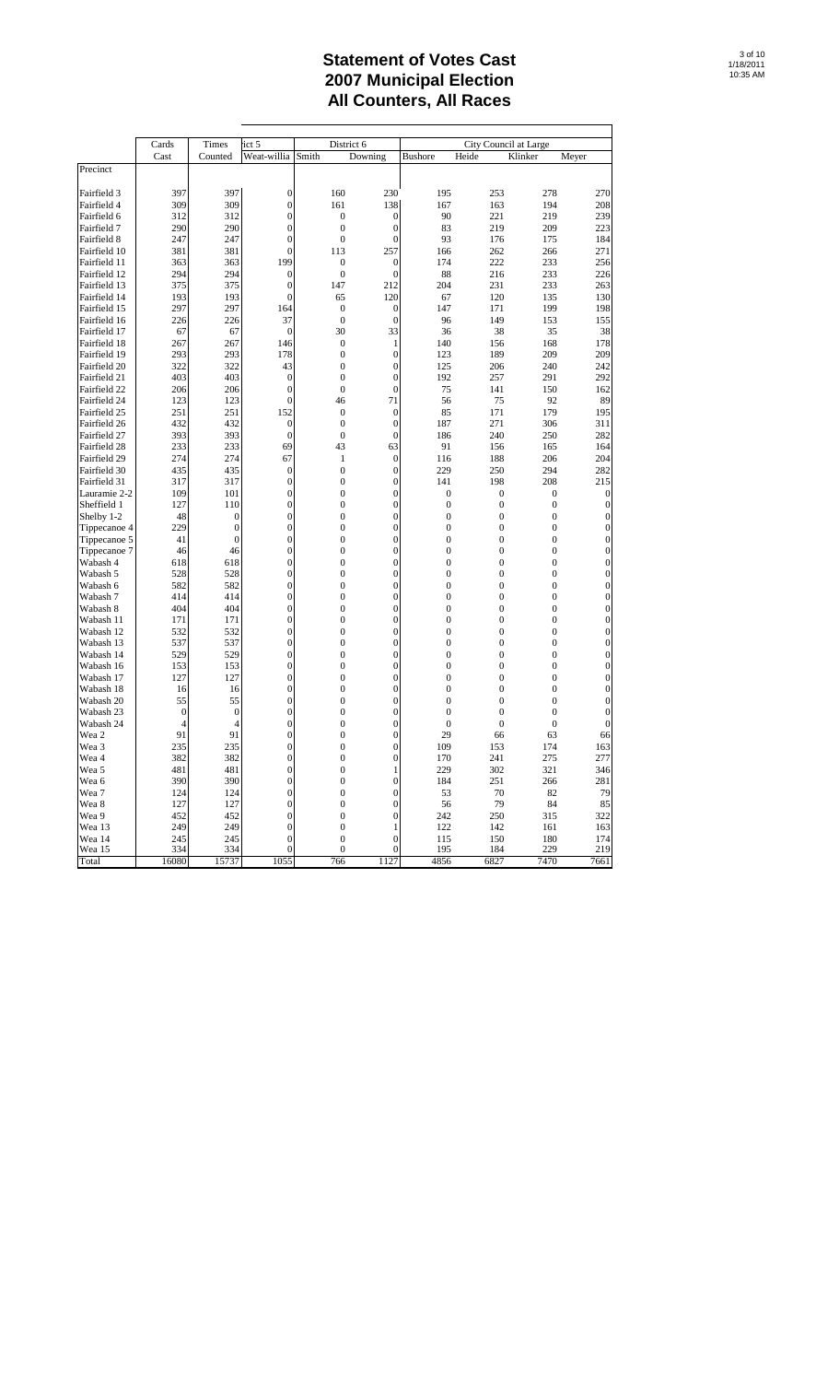|                              | Cards          | Times                            | ict 5                                |       | District 6                                                               |                                    | City Council at Large                |                                |                                      |
|------------------------------|----------------|----------------------------------|--------------------------------------|-------|--------------------------------------------------------------------------|------------------------------------|--------------------------------------|--------------------------------|--------------------------------------|
|                              | Cast           | Counted                          | Weat-willia                          | Smith | Downing                                                                  | <b>Bushore</b>                     | Heide                                | Klinker                        | Meyer                                |
| Precinct                     |                |                                  |                                      |       |                                                                          |                                    |                                      |                                |                                      |
|                              |                |                                  |                                      |       |                                                                          |                                    |                                      |                                |                                      |
| Fairfield 3                  | 397            | 397                              | 0                                    | 160   | 230                                                                      | 195                                | 253                                  | 278                            | 270                                  |
| Fairfield 4                  | 309            | 309                              | $\mathbf{0}$                         | 161   | 138                                                                      | 167                                | 163                                  | 194                            | 208                                  |
| Fairfield 6                  | 312            | 312                              | $\mathbf{0}$                         |       | 0<br>$\mathbf{0}$                                                        | 90                                 | 221                                  | 219                            | 239                                  |
| Fairfield 7                  | 290            | 290                              | $\overline{0}$                       |       | $\mathbf{0}$<br>$\mathbf{0}$                                             | 83                                 | 219                                  | 209                            | 223                                  |
| Fairfield 8                  | 247            | 247                              | $\bf{0}$                             |       | $\boldsymbol{0}$<br>$\bf{0}$                                             | 93                                 | 176                                  | 175                            | 184                                  |
| Fairfield 10                 | 381            | 381                              | $\overline{0}$                       | 113   | 257                                                                      | 166                                | 262                                  | 266                            | 271                                  |
| Fairfield 11                 | 363            | 363<br>294                       | 199                                  |       | 0<br>$\mathbf{0}$<br>$\overline{0}$                                      | 174<br>88                          | 222                                  | 233                            | 256                                  |
| Fairfield 12<br>Fairfield 13 | 294            | 375                              | $\mathbf{0}$<br>$\mathbf{0}$         | 147   | 0<br>212                                                                 | 204                                | 216<br>231                           | 233<br>233                     | 226<br>263                           |
| Fairfield 14                 | 375<br>193     | 193                              | $\overline{0}$                       | 65    | 120                                                                      | 67                                 | 120                                  | 135                            | 130                                  |
| Fairfield 15                 | 297            | 297                              | 164                                  |       | $\mathbf{0}$<br>$\mathbf{0}$                                             | 147                                | 171                                  | 199                            | 198                                  |
| Fairfield 16                 | 226            | 226                              | 37                                   |       | $\boldsymbol{0}$<br>$\bf{0}$                                             | 96                                 | 149                                  | 153                            | 155                                  |
| Fairfield 17                 | 67             | 67                               | $\mathbf{0}$                         |       | 33<br>30                                                                 | 36                                 | 38                                   | 35                             | 38                                   |
| Fairfield 18                 | 267            | 267                              | 146                                  |       | $\boldsymbol{0}$<br>$\mathbf{1}$                                         | 140                                | 156                                  | 168                            | 178                                  |
| Fairfield 19                 | 293            | 293                              | 178                                  |       | 0<br>$\mathbf{0}$                                                        | 123                                | 189                                  | 209                            | 209                                  |
| Fairfield 20                 | 322            | 322                              | 43                                   |       | 0<br>$\mathbf{0}$                                                        | 125                                | 206                                  | 240                            | 242                                  |
| Fairfield 21                 | 403            | 403                              | $\bf{0}$                             |       | 0<br>$\mathbf{0}$                                                        | 192                                | 257                                  | 291                            | 292                                  |
| Fairfield 22                 | 206            | 206                              | $\bf{0}$                             |       | $\mathbf{0}$<br>0                                                        | 75                                 | 141                                  | 150                            | 162                                  |
| Fairfield 24                 | 123            | 123                              | $\mathbf{0}$                         | 46    | 71                                                                       | 56                                 | 75                                   | 92                             | 89                                   |
| Fairfield 25                 | 251            | 251                              | 152                                  |       | 0<br>$\mathbf{0}$                                                        | 85                                 | 171                                  | 179                            | 195                                  |
| Fairfield 26                 | 432            | 432                              | 0                                    |       | $\mathbf{0}$<br>$\mathbf{0}$                                             | 187                                | 271                                  | 306                            | 311                                  |
| Fairfield 27                 | 393            | 393                              | $\boldsymbol{0}$                     |       | $\boldsymbol{0}$<br>$\mathbf{0}$                                         | 186                                | 240                                  | 250                            | 282                                  |
| Fairfield 28                 | 233            | 233                              | 69                                   | 43    | 63                                                                       | 91                                 | 156                                  | 165                            | 164                                  |
| Fairfield 29                 | 274            | 274                              | 67                                   |       | $\boldsymbol{0}$<br>$\mathbf{1}$                                         | 116                                | 188                                  | 206                            | 204                                  |
| Fairfield 30                 | 435            | 435                              | $\boldsymbol{0}$                     |       | 0<br>$\mathbf{0}$                                                        | 229                                | 250                                  | 294                            | 282                                  |
| Fairfield 31                 | 317            | 317                              | $\bf{0}$                             |       | 0<br>$\mathbf{0}$                                                        | 141                                | 198                                  | 208                            | 215                                  |
| Lauramie 2-2                 | 109            | 101                              | $\bf{0}$                             |       | 0<br>$\mathbf{0}$                                                        | $\boldsymbol{0}$                   | $\boldsymbol{0}$                     | $\boldsymbol{0}$               | $\boldsymbol{0}$                     |
| Sheffield 1                  | 127            | 110                              | $\mathbf{0}$                         |       | $\overline{0}$<br>0                                                      | $\boldsymbol{0}$                   | $\boldsymbol{0}$                     | $\boldsymbol{0}$               | $\boldsymbol{0}$                     |
| Shelby 1-2                   | 48             | $\mathbf{0}$                     | $\mathbf{0}$                         |       | $\mathbf{0}$<br>0                                                        | $\boldsymbol{0}$                   | $\boldsymbol{0}$                     | $\mathbf{0}$                   | $\boldsymbol{0}$                     |
| Tippecanoe 4                 | 229            | $\overline{0}$<br>$\overline{0}$ | $\overline{0}$<br>$\overline{0}$     |       | 0<br>$\mathbf{0}$                                                        | $\boldsymbol{0}$<br>$\overline{0}$ | $\boldsymbol{0}$<br>$\boldsymbol{0}$ | $\mathbf{0}$<br>$\overline{0}$ | $\boldsymbol{0}$<br>$\boldsymbol{0}$ |
| Tippecanoe 5                 | 41<br>46       | 46                               | $\mathbf{0}$                         |       | 0<br>$\mathbf{0}$<br>0<br>$\mathbf{0}$                                   | $\boldsymbol{0}$                   | $\mathbf{0}$                         | $\boldsymbol{0}$               | $\boldsymbol{0}$                     |
| Tippecanoe 7<br>Wabash 4     | 618            | 618                              | $\mathbf{0}$                         |       | $\overline{0}$<br>0                                                      | 0                                  | $\boldsymbol{0}$                     | $\mathbf{0}$                   | $\boldsymbol{0}$                     |
| Wabash 5                     | 528            | 528                              | $\mathbf{0}$                         |       | $\mathbf{0}$<br>0                                                        | $\boldsymbol{0}$                   | $\mathbf{0}$                         | $\mathbf{0}$                   | $\boldsymbol{0}$                     |
| Wabash 6                     | 582            | 582                              | $\bf{0}$                             |       | 0<br>$\mathbf{0}$                                                        | $\boldsymbol{0}$                   | $\boldsymbol{0}$                     | $\mathbf{0}$                   | $\boldsymbol{0}$                     |
| Wabash 7                     | 414            | 414                              | $\bf{0}$                             |       | 0<br>$\mathbf{0}$                                                        | $\overline{0}$                     | $\boldsymbol{0}$                     | $\mathbf{0}$                   | $\boldsymbol{0}$                     |
| Wabash 8                     | 404            | 404                              | $\mathbf{0}$                         |       | 0<br>$\mathbf{0}$                                                        | $\boldsymbol{0}$                   | $\mathbf{0}$                         | $\boldsymbol{0}$               | $\boldsymbol{0}$                     |
| Wabash 11                    | 171            | 171                              | $\mathbf{0}$                         |       | $\overline{0}$<br>0                                                      | $\boldsymbol{0}$                   | $\boldsymbol{0}$                     | $\mathbf{0}$                   | $\boldsymbol{0}$                     |
| Wabash 12                    | 532            | 532                              | $\mathbf{0}$                         |       | $\mathbf{0}$<br>0                                                        | $\boldsymbol{0}$                   | $\boldsymbol{0}$                     | $\mathbf{0}$                   | $\boldsymbol{0}$                     |
| Wabash 13                    | 537            | 537                              | $\overline{0}$                       |       | 0<br>$\overline{0}$                                                      | $\boldsymbol{0}$                   | $\boldsymbol{0}$                     | $\mathbf{0}$                   | $\boldsymbol{0}$                     |
| Wabash 14                    | 529            | 529                              | $\bf{0}$                             |       | 0<br>$\mathbf{0}$                                                        | $\overline{0}$                     | $\boldsymbol{0}$                     | $\overline{0}$                 | $\boldsymbol{0}$                     |
| Wabash 16                    | 153            | 153                              | $\mathbf{0}$                         |       | 0<br>$\mathbf{0}$                                                        | $\boldsymbol{0}$                   | $\mathbf{0}$                         | $\mathbf{0}$                   | $\boldsymbol{0}$                     |
| Wabash 17                    | 127            | 127                              | $\overline{0}$                       |       | $\overline{0}$<br>0                                                      | 0                                  | $\mathbf{0}$                         | $\mathbf{0}$                   | $\boldsymbol{0}$                     |
| Wabash 18                    | 16             | 16                               | $\overline{0}$                       |       | $\boldsymbol{0}$<br>$\mathbf{0}$                                         | $\boldsymbol{0}$                   | $\mathbf{0}$                         | $\mathbf{0}$                   | $\boldsymbol{0}$                     |
| Wabash 20                    | 55             | 55                               | $\overline{0}$                       |       | 0<br>$\mathbf{0}$                                                        | $\boldsymbol{0}$                   | $\boldsymbol{0}$                     | $\mathbf{0}$                   | 0                                    |
| Wabash 23                    | $\bf{0}$       | $\mathbf{0}$                     | $\overline{0}$                       |       | 0<br>$\bf{0}$                                                            | $\mathbf{0}$                       | $\overline{0}$                       | $\mathbf{0}$                   | $\boldsymbol{0}$                     |
| Wabash 24                    | $\overline{4}$ | $\overline{4}$                   | $\bf{0}$                             |       | 0<br>$\mathbf{0}$                                                        | $\boldsymbol{0}$                   | $\mathbf{0}$                         | $\mathbf{0}$                   | $\boldsymbol{0}$                     |
| Wea 2                        | 91             | 91                               | 0                                    |       | 0<br>$\overline{0}$                                                      | 29                                 | 66                                   | 63                             | 66                                   |
| Wea 3                        | 235            | 235<br>382                       | $\boldsymbol{0}$                     |       | $\boldsymbol{0}$<br>0                                                    | 109                                | 153                                  | 174                            | 163                                  |
| Wea 4<br>Wea 5               | 382<br>481     | 481                              | $\boldsymbol{0}$<br>$\boldsymbol{0}$ |       | $\boldsymbol{0}$<br>$\boldsymbol{0}$<br>$\boldsymbol{0}$<br>$\mathbf{1}$ | 170<br>229                         | 241<br>302                           | 275<br>321                     | 277                                  |
| Wea 6                        | 390            | 390                              | $\boldsymbol{0}$                     |       | $\boldsymbol{0}$<br>$\boldsymbol{0}$                                     | 184                                | 251                                  | 266                            | 346<br>281                           |
| Wea 7                        | 124            | 124                              | $\boldsymbol{0}$                     |       | $\boldsymbol{0}$<br>$\boldsymbol{0}$                                     | 53                                 | 70                                   | 82                             | 79                                   |
| Wea 8                        | 127            | 127                              | $\boldsymbol{0}$                     |       | $\boldsymbol{0}$<br>$\boldsymbol{0}$                                     | 56                                 | 79                                   | 84                             | 85                                   |
| Wea 9                        | 452            | 452                              | $\boldsymbol{0}$                     |       | $\boldsymbol{0}$<br>$\boldsymbol{0}$                                     | 242                                | 250                                  | 315                            | 322                                  |
| Wea 13                       | 249            | 249                              | 0                                    |       | $\boldsymbol{0}$<br>$\mathbf{1}$                                         | 122                                | 142                                  | 161                            | 163                                  |
| Wea 14                       | 245            | 245                              | $\boldsymbol{0}$                     |       | $\boldsymbol{0}$<br>$\boldsymbol{0}$                                     | 115                                | 150                                  | 180                            | 174                                  |
| Wea 15                       | 334            | 334                              | 0                                    |       | $\boldsymbol{0}$<br>$\mathbf{0}$                                         | 195                                | 184                                  | 229                            | 219                                  |
| Total                        | 16080          | 15737                            | 1055                                 | 766   | 1127                                                                     | 4856                               | 6827                                 | 7470                           | 7661                                 |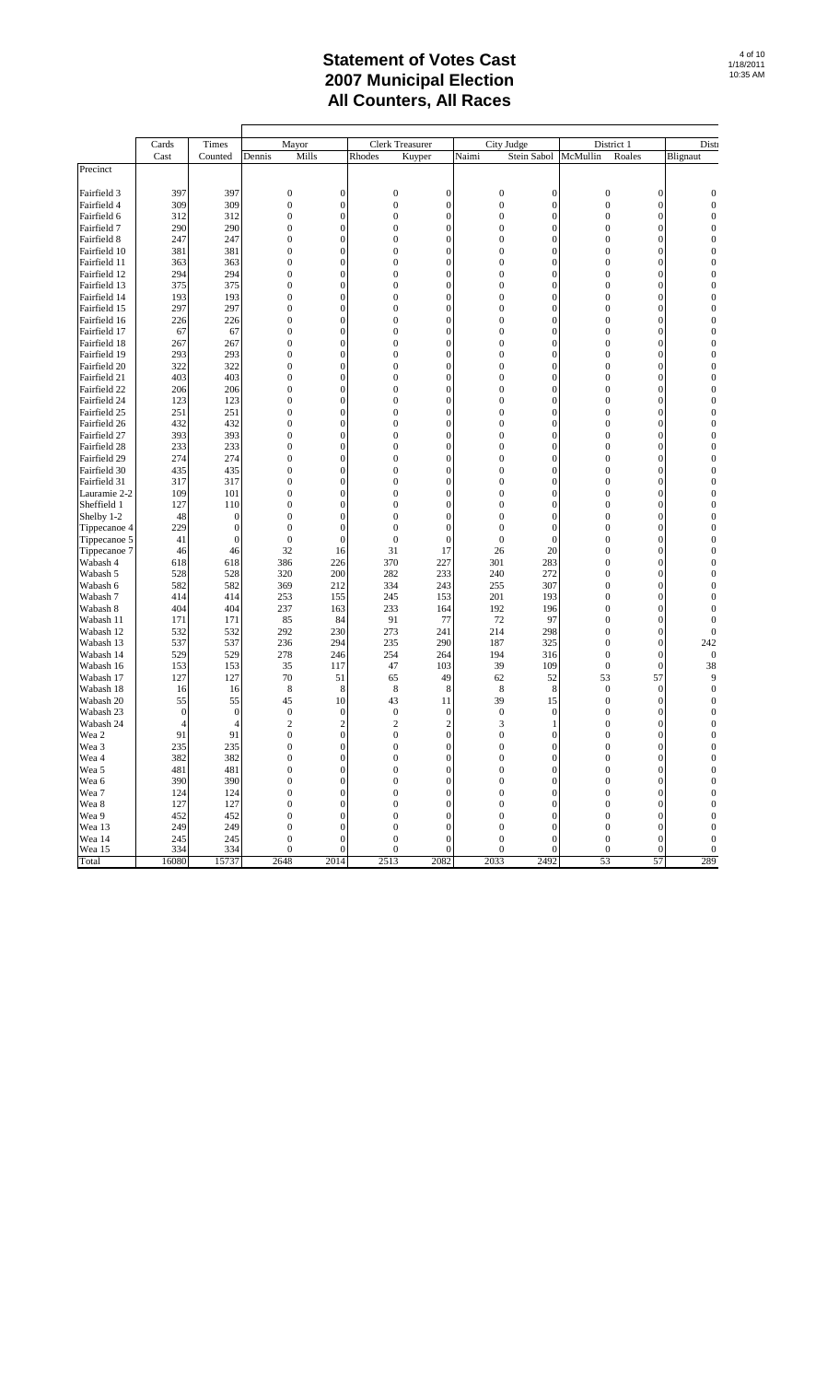|                        | Cards            | Times            | Mayor            |                  | Clerk Treasurer  |                  | City Judge       |                  | District 1                           |                                      | Dist                             |
|------------------------|------------------|------------------|------------------|------------------|------------------|------------------|------------------|------------------|--------------------------------------|--------------------------------------|----------------------------------|
|                        | Cast             | Counted          | Mills<br>Dennis  |                  | Rhodes           | Kuyper           | Naimi            | Stein Sabol      | Roales<br>McMullin                   |                                      | Blignaut                         |
| Precinct               |                  |                  |                  |                  |                  |                  |                  |                  |                                      |                                      |                                  |
|                        |                  |                  |                  |                  |                  |                  |                  |                  |                                      |                                      |                                  |
| Fairfield 3            | 397              | 397              | $\mathbf{0}$     | $\boldsymbol{0}$ | $\bf{0}$         | $\boldsymbol{0}$ | $\boldsymbol{0}$ | $\boldsymbol{0}$ | $\boldsymbol{0}$                     | $\boldsymbol{0}$                     | 0                                |
| Fairfield 4            | 309              | 309              | $\boldsymbol{0}$ | $\overline{0}$   | $\overline{0}$   | $\overline{0}$   | $\overline{0}$   | $\overline{0}$   | $\overline{0}$                       | $\overline{0}$                       | $\overline{0}$                   |
| Fairfield 6            | 312              | 312              | $\boldsymbol{0}$ | $\boldsymbol{0}$ | $\boldsymbol{0}$ | $\overline{0}$   | $\boldsymbol{0}$ | $\overline{0}$   | $\boldsymbol{0}$                     | $\boldsymbol{0}$                     | $\mathbf{0}$                     |
| Fairfield 7            | 290              | 290              | $\bf{0}$         | $\boldsymbol{0}$ | $\bf{0}$         | $\mathbf{0}$     | $\boldsymbol{0}$ | $\overline{0}$   | $\boldsymbol{0}$                     | $\boldsymbol{0}$                     | $\mathbf 0$                      |
| Fairfield 8            | 247              | 247              | $\overline{0}$   | $\overline{0}$   | $\boldsymbol{0}$ | $\mathbf{0}$     | $\mathbf{0}$     | $\mathbf{0}$     | $\mathbf{0}$                         | $\boldsymbol{0}$                     | $\overline{0}$                   |
| Fairfield 10           | 381              | 381              | $\mathbf{0}$     | $\boldsymbol{0}$ | $\bf{0}$         | $\boldsymbol{0}$ | $\boldsymbol{0}$ | $\boldsymbol{0}$ | $\boldsymbol{0}$                     | $\boldsymbol{0}$                     | $\mathbf{0}$                     |
| Fairfield 11           | 363              | 363              | $\overline{0}$   | $\overline{0}$   | $\overline{0}$   | $\overline{0}$   | $\overline{0}$   | $\overline{0}$   | $\overline{0}$                       | $\overline{0}$                       | $\overline{0}$                   |
| Fairfield 12           | 294              | 294              | $\overline{0}$   | $\boldsymbol{0}$ | $\mathbf{0}$     | $\overline{0}$   | $\mathbf{0}$     | $\boldsymbol{0}$ | $\mathbf{0}$                         | $\boldsymbol{0}$                     | $\overline{0}$                   |
| Fairfield 13           | 375              | 375              | $\mathbf{0}$     | $\boldsymbol{0}$ | $\boldsymbol{0}$ | $\boldsymbol{0}$ | $\boldsymbol{0}$ | $\boldsymbol{0}$ | $\boldsymbol{0}$                     | $\boldsymbol{0}$                     | $\mathbf{0}$                     |
| Fairfield 14           | 193              | 193              | $\boldsymbol{0}$ | $\boldsymbol{0}$ | $\boldsymbol{0}$ | $\mathbf{0}$     | $\boldsymbol{0}$ | $\boldsymbol{0}$ | $\boldsymbol{0}$                     | $\boldsymbol{0}$                     | $\mathbf{0}$                     |
| Fairfield 15           | 297              | 297              | $\mathbf{0}$     | $\boldsymbol{0}$ | $\boldsymbol{0}$ | $\boldsymbol{0}$ | $\boldsymbol{0}$ | $\boldsymbol{0}$ | $\boldsymbol{0}$                     | $\boldsymbol{0}$                     | $\mathbf{0}$                     |
| Fairfield 16           | 226              | 226              | $\overline{0}$   | $\overline{0}$   | $\overline{0}$   | $\overline{0}$   | $\overline{0}$   | $\overline{0}$   | $\mathbf{0}$                         | $\overline{0}$                       | $\overline{0}$                   |
| Fairfield 17           | 67               | 67               | $\overline{0}$   | $\boldsymbol{0}$ | $\mathbf{0}$     | $\overline{0}$   | $\mathbf{0}$     | $\overline{0}$   | $\mathbf{0}$                         | $\boldsymbol{0}$                     | $\overline{0}$                   |
| Fairfield 18           | 267              | 267              | $\boldsymbol{0}$ | $\boldsymbol{0}$ | $\boldsymbol{0}$ | $\boldsymbol{0}$ | $\boldsymbol{0}$ | $\boldsymbol{0}$ | $\boldsymbol{0}$                     | $\boldsymbol{0}$                     | $\mathbf{0}$                     |
| Fairfield 19           | 293              | 293              | $\overline{0}$   | $\boldsymbol{0}$ | $\boldsymbol{0}$ | $\mathbf{0}$     | $\mathbf{0}$     | $\boldsymbol{0}$ | $\mathbf{0}$                         | $\boldsymbol{0}$                     | $\mathbf{0}$                     |
| Fairfield 20           | 322              | 322              | $\mathbf{0}$     | $\boldsymbol{0}$ | $\boldsymbol{0}$ | $\boldsymbol{0}$ | $\boldsymbol{0}$ | $\boldsymbol{0}$ | $\boldsymbol{0}$                     | $\boldsymbol{0}$                     | $\boldsymbol{0}$                 |
| Fairfield 21           | 403              | 403              | $\overline{0}$   | $\overline{0}$   | $\mathbf{0}$     | $\overline{0}$   | $\overline{0}$   | $\overline{0}$   | $\mathbf{0}$                         | $\overline{0}$                       | $\overline{0}$                   |
| Fairfield 22           | 206              | 206              | $\mathbf{0}$     | $\boldsymbol{0}$ | $\boldsymbol{0}$ | $\mathbf{0}$     | $\boldsymbol{0}$ | $\boldsymbol{0}$ | $\mathbf{0}$                         | $\boldsymbol{0}$                     | $\overline{0}$                   |
| Fairfield 24           | 123              | 123              | $\mathbf{0}$     | $\boldsymbol{0}$ | $\boldsymbol{0}$ | $\boldsymbol{0}$ | $\boldsymbol{0}$ | $\boldsymbol{0}$ | $\boldsymbol{0}$                     | $\boldsymbol{0}$                     | $\mathbf{0}$                     |
| Fairfield 25           | 251              | 251              | $\boldsymbol{0}$ | $\boldsymbol{0}$ | $\boldsymbol{0}$ | $\mathbf{0}$     | $\mathbf{0}$     | $\mathbf{0}$     | $\mathbf{0}$                         | $\boldsymbol{0}$                     | $\mathbf{0}$                     |
| Fairfield 26           | 432              | 432              | $\mathbf{0}$     | $\boldsymbol{0}$ | $\boldsymbol{0}$ | $\boldsymbol{0}$ | $\boldsymbol{0}$ | $\boldsymbol{0}$ | $\boldsymbol{0}$                     | $\boldsymbol{0}$                     | $\boldsymbol{0}$                 |
| Fairfield 27           | 393              | 393              | $\overline{0}$   | $\overline{0}$   | $\overline{0}$   | $\overline{0}$   | $\overline{0}$   | $\overline{0}$   | $\overline{0}$                       | $\overline{0}$                       | $\overline{0}$                   |
| Fairfield 28           | 233              | 233              | $\mathbf{0}$     | $\boldsymbol{0}$ | $\boldsymbol{0}$ | $\overline{0}$   | $\boldsymbol{0}$ | $\boldsymbol{0}$ | $\mathbf{0}$                         | $\boldsymbol{0}$                     | $\overline{0}$                   |
| Fairfield 29           | 274              | 274              | $\mathbf{0}$     | $\boldsymbol{0}$ | $\boldsymbol{0}$ | $\boldsymbol{0}$ | $\boldsymbol{0}$ | $\boldsymbol{0}$ | $\boldsymbol{0}$                     | $\boldsymbol{0}$                     | $\mathbf 0$                      |
| Fairfield 30           | 435              | 435              | $\boldsymbol{0}$ | $\boldsymbol{0}$ | $\boldsymbol{0}$ | $\mathbf{0}$     | $\boldsymbol{0}$ | $\boldsymbol{0}$ | $\mathbf{0}$                         | $\boldsymbol{0}$                     | $\mathbf{0}$                     |
| Fairfield 31           | 317              | 317              | $\mathbf{0}$     | $\boldsymbol{0}$ | $\boldsymbol{0}$ | $\boldsymbol{0}$ | $\boldsymbol{0}$ | $\boldsymbol{0}$ | $\boldsymbol{0}$                     | $\boldsymbol{0}$                     | $\boldsymbol{0}$                 |
| Lauramie 2-2           | 109              | 101              | $\mathbf{0}$     | $\overline{0}$   | $\overline{0}$   | $\overline{0}$   | $\overline{0}$   | $\overline{0}$   | $\overline{0}$                       | $\overline{0}$                       | $\overline{0}$                   |
| Sheffield 1            | 127              | 110              | $\mathbf{0}$     | $\boldsymbol{0}$ | $\mathbf{0}$     | $\boldsymbol{0}$ | $\boldsymbol{0}$ | $\boldsymbol{0}$ | $\mathbf{0}$                         | $\boldsymbol{0}$                     | $\overline{0}$                   |
| Shelby 1-2             | 48               | $\mathbf{0}$     | $\boldsymbol{0}$ | $\boldsymbol{0}$ | $\boldsymbol{0}$ | $\boldsymbol{0}$ | $\boldsymbol{0}$ | $\boldsymbol{0}$ | $\boldsymbol{0}$                     | $\boldsymbol{0}$                     | $\mathbf{0}$                     |
| Tippecanoe 4           | 229              | $\boldsymbol{0}$ | $\boldsymbol{0}$ | $\boldsymbol{0}$ | $\boldsymbol{0}$ | $\boldsymbol{0}$ | $\mathbf{0}$     | $\boldsymbol{0}$ | $\mathbf{0}$                         | $\boldsymbol{0}$                     | $\mathbf{0}$                     |
| Tippecanoe 5           | 41               | $\boldsymbol{0}$ | $\mathbf{0}$     | $\boldsymbol{0}$ | $\boldsymbol{0}$ | $\boldsymbol{0}$ | $\boldsymbol{0}$ | $\boldsymbol{0}$ | $\boldsymbol{0}$                     | $\boldsymbol{0}$                     | $\boldsymbol{0}$                 |
| Tippecanoe 7           | 46               | 46               | 32               | 16               | 31               | 17               | 26               | 20               | $\mathbf{0}$                         | $\mathbf{0}$                         | $\overline{0}$                   |
| Wabash 4               | 618              | 618              | 386              | 226              | 370              | 227              | 301              | 283              | $\overline{0}$                       | $\boldsymbol{0}$                     | $\mathbf{0}$                     |
| Wabash 5               | 528              | 528              | 320              | 200              | 282              | 233              | 240              | 272              | $\boldsymbol{0}$                     | $\boldsymbol{0}$                     | $\mathbf 0$                      |
| Wabash 6               | 582              | 582              | 369              | 212              | 334              | 243              | 255              | 307              | $\mathbf{0}$                         | $\boldsymbol{0}$                     | $\mathbf{0}$                     |
| Wabash 7               | 414              | 414              | 253              | 155              | 245              | 153              | 201              | 193              | $\boldsymbol{0}$<br>$\overline{0}$   | $\boldsymbol{0}$<br>$\overline{0}$   | $\boldsymbol{0}$                 |
| Wabash 8<br>Wabash 11  | 404<br>171       | 404<br>171       | 237<br>85        | 163<br>84        | 233<br>91        | 164<br>77        | 192<br>72        | 196<br>97        | $\mathbf{0}$                         | $\boldsymbol{0}$                     | $\overline{0}$<br>$\overline{0}$ |
|                        |                  |                  |                  |                  |                  |                  |                  |                  |                                      |                                      |                                  |
| Wabash 12<br>Wabash 13 | 532<br>537       | 532<br>537       | 292<br>236       | 230<br>294       | 273<br>235       | 241<br>290       | 214<br>187       | 298<br>325       | $\boldsymbol{0}$<br>$\boldsymbol{0}$ | $\boldsymbol{0}$<br>$\boldsymbol{0}$ | $\mathbf{0}$<br>242              |
| Wabash 14              | 529              | 529              | 278              | 246              | 254              | 264              | 194              | 316              | $\boldsymbol{0}$                     | $\boldsymbol{0}$                     | $\boldsymbol{0}$                 |
| Wabash 16              | 153              | 153              | 35               | 117              | 47               | 103              | 39               | 109              | $\boldsymbol{0}$                     | $\mathbf{0}$                         | 38                               |
| Wabash 17              | 127              | 127              | 70               | 51               | 65               | 49               | 62               | 52               | 53                                   | 57                                   | 9                                |
| Wabash 18              | 16               | 16               | 8                | 8                | 8                | 8                | 8                | 8                | $\boldsymbol{0}$                     | $\boldsymbol{0}$                     | $\mathbf 0$                      |
| Wabash 20              | 55               | 55               | 45               | 10               | 43               | 11               | 39               | 15               | $\boldsymbol{0}$                     | $\boldsymbol{0}$                     | $\mathbf 0$                      |
| Wabash 23              | $\boldsymbol{0}$ | $\mathbf{0}$     | $\boldsymbol{0}$ | $\boldsymbol{0}$ | $\boldsymbol{0}$ | $\mathbf{0}$     | $\boldsymbol{0}$ | $\mathbf{0}$     | $\mathbf{0}$                         | $\boldsymbol{0}$                     | $\mathbf 0$                      |
| Wabash 24              | 4                | $\overline{4}$   | $\overline{c}$   | $\overline{c}$   | $\overline{c}$   | $\overline{c}$   | 3                | 1                | $\overline{0}$                       | $\overline{0}$                       | $\overline{0}$                   |
| Wea 2                  | 91               | 91               | $\boldsymbol{0}$ | $\boldsymbol{0}$ | $\boldsymbol{0}$ | $\boldsymbol{0}$ | $\boldsymbol{0}$ | $\boldsymbol{0}$ | $\mathbf{0}$                         | $\boldsymbol{0}$                     | $\overline{0}$                   |
| Wea 3                  | 235              | 235              | $\boldsymbol{0}$ | $\bf{0}$         | $\boldsymbol{0}$ | $\mathbf 0$      | $\boldsymbol{0}$ | $\mathbf 0$      | $\boldsymbol{0}$                     | $\mathbf 0$                          | $\overline{0}$                   |
| Wea 4                  | 382              | 382              | $\boldsymbol{0}$ | $\boldsymbol{0}$ | $\boldsymbol{0}$ | $\boldsymbol{0}$ | $\boldsymbol{0}$ | $\boldsymbol{0}$ | $\boldsymbol{0}$                     | $\boldsymbol{0}$                     | $\mathbf 0$                      |
| Wea 5                  | 481              | 481              | $\boldsymbol{0}$ | $\boldsymbol{0}$ | $\boldsymbol{0}$ | $\boldsymbol{0}$ | $\boldsymbol{0}$ | $\boldsymbol{0}$ | $\boldsymbol{0}$                     | $\boldsymbol{0}$                     | $\mathbf{0}$                     |
| Wea 6                  | 390              | 390              | $\mathbf{0}$     | $\mathbf{0}$     | $\boldsymbol{0}$ | $\mathbf{0}$     | $\boldsymbol{0}$ | $\mathbf{0}$     | $\boldsymbol{0}$                     | $\mathbf{0}$                         | $\overline{0}$                   |
| Wea 7                  | 124              | 124              | $\mathbf{0}$     | $\boldsymbol{0}$ | $\boldsymbol{0}$ | $\boldsymbol{0}$ | $\boldsymbol{0}$ | $\boldsymbol{0}$ | $\boldsymbol{0}$                     | $\boldsymbol{0}$                     | 0                                |
| Wea 8                  | 127              | 127              | $\mathbf{0}$     | $\boldsymbol{0}$ | $\boldsymbol{0}$ | $\boldsymbol{0}$ | $\boldsymbol{0}$ | $\boldsymbol{0}$ | $\boldsymbol{0}$                     | $\boldsymbol{0}$                     | $\boldsymbol{0}$                 |
| Wea 9                  | 452              | 452              | $\mathbf{0}$     | $\mathbf{0}$     | $\boldsymbol{0}$ | $\mathbf{0}$     | $\boldsymbol{0}$ | $\mathbf{0}$     | $\boldsymbol{0}$                     | $\mathbf{0}$                         | $\boldsymbol{0}$                 |
| Wea 13                 | 249              | 249              | $\mathbf{0}$     | $\boldsymbol{0}$ | $\boldsymbol{0}$ | $\boldsymbol{0}$ | $\boldsymbol{0}$ | $\boldsymbol{0}$ | $\boldsymbol{0}$                     | $\boldsymbol{0}$                     | $\boldsymbol{0}$                 |
| Wea 14                 | 245              | 245              | $\mathbf{0}$     | $\boldsymbol{0}$ | $\boldsymbol{0}$ | $\boldsymbol{0}$ | $\boldsymbol{0}$ | $\boldsymbol{0}$ | $\boldsymbol{0}$                     | $\boldsymbol{0}$                     | $\boldsymbol{0}$                 |
| Wea 15                 | 334              | 334              | $\boldsymbol{0}$ | $\boldsymbol{0}$ | $\boldsymbol{0}$ | $\boldsymbol{0}$ | $\boldsymbol{0}$ | $\boldsymbol{0}$ | $\boldsymbol{0}$                     | $\boldsymbol{0}$                     | $\boldsymbol{0}$                 |
| Total                  | 16080            | 15737            | 2648             | 2014             | 2513             | 2082             | 2033             | 2492             | 53                                   | 57                                   | 289                              |
|                        |                  |                  |                  |                  |                  |                  |                  |                  |                                      |                                      |                                  |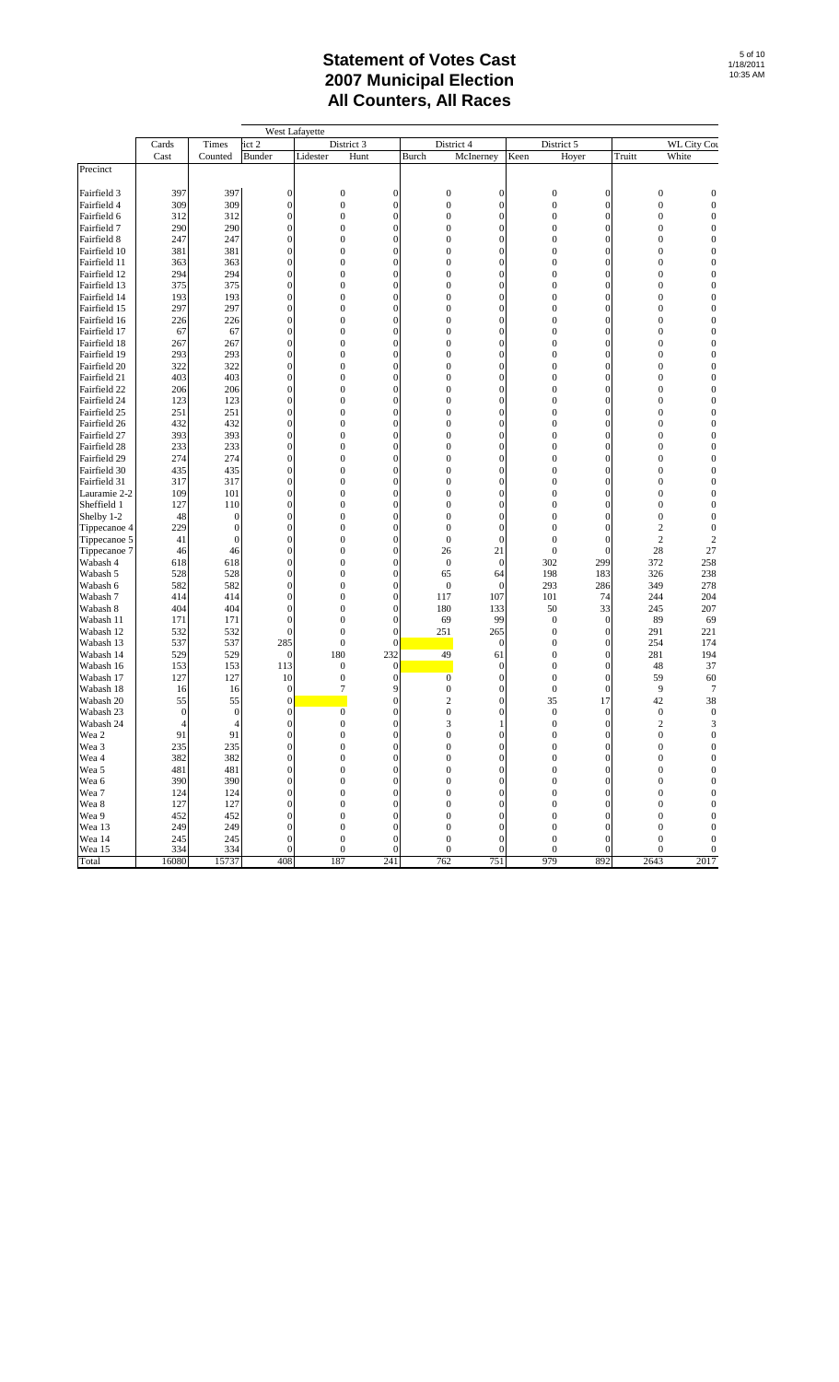|                              |                  |                  |                                      | West Lafayette                       |                                      |                              |                                |                              |                  |                             |                                      |
|------------------------------|------------------|------------------|--------------------------------------|--------------------------------------|--------------------------------------|------------------------------|--------------------------------|------------------------------|------------------|-----------------------------|--------------------------------------|
|                              | Cards            | Times            | ict 2                                | District 3                           |                                      | District 4                   |                                | District 5                   |                  |                             | <b>WL City Cou</b>                   |
|                              | Cast             | Counted          | Bunder                               | Hunt<br>Lidester                     |                                      | Burch                        | McInerney                      | Keen<br>Hoyer                |                  | Truitt                      | White                                |
| Precinct                     |                  |                  |                                      |                                      |                                      |                              |                                |                              |                  |                             |                                      |
|                              |                  |                  |                                      |                                      |                                      |                              |                                |                              |                  |                             |                                      |
| Fairfield 3                  | 397              | 397              | $\boldsymbol{0}$                     | $\boldsymbol{0}$                     | $\mathbf{0}$                         | $\boldsymbol{0}$             | $\mathbf{0}$                   | $\boldsymbol{0}$             | 0                | $\boldsymbol{0}$            | $\boldsymbol{0}$                     |
| Fairfield 4                  | 309              | 309              | $\boldsymbol{0}$                     | $\boldsymbol{0}$                     | $\boldsymbol{0}$                     | $\boldsymbol{0}$             | $\mathbf{0}$                   | $\mathbf{0}$                 | 0                | $\mathbf{0}$                | $\boldsymbol{0}$                     |
| Fairfield 6                  | 312              | 312              | $\boldsymbol{0}$                     | $\boldsymbol{0}$                     | $\boldsymbol{0}$                     | $\mathbf{0}$                 | $\mathbf{0}$                   | $\mathbf{0}$                 | 0                | $\mathbf 0$                 | $\boldsymbol{0}$                     |
| Fairfield 7                  | 290              | 290              | $\boldsymbol{0}$                     | $\boldsymbol{0}$                     | $\mathbf{0}$                         | $\mathbf{0}$                 | $\Omega$                       | $\mathbf{0}$                 | $\Omega$         | $\mathbf 0$                 | $\boldsymbol{0}$                     |
| Fairfield 8                  | 247              | 247              | $\boldsymbol{0}$                     | $\boldsymbol{0}$                     | $\mathbf{0}$                         | $\mathbf{0}$                 | $\mathbf{0}$                   | $\mathbf{0}$                 | $\Omega$         | $\mathbf{0}$                | $\boldsymbol{0}$                     |
| Fairfield 10                 | 381              | 381              | $\boldsymbol{0}$                     | $\boldsymbol{0}$                     | $\boldsymbol{0}$                     | $\mathbf{0}$                 | $\mathbf{0}$                   | $\mathbf{0}$                 | $\theta$         | $\mathbf 0$                 | $\boldsymbol{0}$                     |
| Fairfield 11                 | 363              | 363              | $\boldsymbol{0}$                     | $\boldsymbol{0}$                     | $\mathbf{0}$                         | $\mathbf{0}$                 | $\Omega$                       | $\mathbf{0}$                 | $\Omega$         | $\mathbf 0$                 | 0                                    |
| Fairfield 12                 | 294              | 294              | $\boldsymbol{0}$                     | $\mathbf{0}$                         | $\boldsymbol{0}$                     | $\mathbf{0}$                 | $\overline{0}$<br>$\Omega$     | $\mathbf{0}$                 | $\overline{0}$   | $\mathbf 0$                 | $\boldsymbol{0}$                     |
| Fairfield 13<br>Fairfield 14 | 375<br>193       | 375<br>193       | $\boldsymbol{0}$<br>$\boldsymbol{0}$ | $\mathbf{0}$                         | $\boldsymbol{0}$<br>$\boldsymbol{0}$ | $\mathbf{0}$<br>$\mathbf{0}$ | $\overline{0}$                 | $\mathbf{0}$<br>$\mathbf{0}$ | $\Omega$         | $\mathbf 0$<br>$\mathbf{0}$ | $\boldsymbol{0}$                     |
|                              |                  |                  | $\boldsymbol{0}$                     | $\boldsymbol{0}$                     | $\boldsymbol{0}$                     | $\mathbf{0}$                 | $\mathbf{0}$                   | $\mathbf{0}$                 | 0<br>$\theta$    | $\mathbf 0$                 | $\boldsymbol{0}$<br>$\boldsymbol{0}$ |
| Fairfield 15                 | 297              | 297              | $\boldsymbol{0}$                     | $\boldsymbol{0}$                     | $\mathbf{0}$                         | $\mathbf{0}$                 | $\Omega$                       | $\mathbf{0}$                 | $\Omega$         | $\mathbf{0}$                | $\boldsymbol{0}$                     |
| Fairfield 16                 | 226              | 226              | $\boldsymbol{0}$                     | $\boldsymbol{0}$<br>$\boldsymbol{0}$ | $\boldsymbol{0}$                     | $\mathbf{0}$                 | $\overline{0}$                 | $\mathbf{0}$                 | $\overline{0}$   | $\mathbf 0$                 | $\boldsymbol{0}$                     |
| Fairfield 17                 | 67               | 67               |                                      |                                      |                                      |                              |                                |                              |                  |                             |                                      |
| Fairfield 18                 | 267<br>293       | 267<br>293       | $\boldsymbol{0}$<br>$\boldsymbol{0}$ | $\boldsymbol{0}$<br>$\mathbf{0}$     | $\boldsymbol{0}$<br>$\boldsymbol{0}$ | $\mathbf{0}$<br>$\mathbf{0}$ | $\mathbf{0}$<br>$\overline{0}$ | $\mathbf{0}$<br>$\mathbf{0}$ | $\Omega$<br>0    | $\mathbf 0$<br>$\mathbf{0}$ | $\boldsymbol{0}$<br>$\boldsymbol{0}$ |
| Fairfield 19<br>Fairfield 20 | 322              | 322              | $\boldsymbol{0}$                     | $\boldsymbol{0}$                     | $\boldsymbol{0}$                     | $\mathbf{0}$                 | $\mathbf{0}$                   | $\mathbf{0}$                 | 0                | $\mathbf 0$                 | $\boldsymbol{0}$                     |
| Fairfield 21                 | 403              | 403              | $\boldsymbol{0}$                     | $\boldsymbol{0}$                     | $\mathbf{0}$                         | $\mathbf{0}$                 | $\Omega$                       | $\mathbf{0}$                 | $\Omega$         | $\mathbf 0$                 | 0                                    |
| Fairfield 22                 | 206              | 206              | $\boldsymbol{0}$                     | $\boldsymbol{0}$                     | $\boldsymbol{0}$                     | $\mathbf{0}$                 | $\overline{0}$                 | $\mathbf{0}$                 | $\overline{0}$   | $\mathbf 0$                 | $\boldsymbol{0}$                     |
| Fairfield 24                 | 123              | 123              | $\boldsymbol{0}$                     | $\boldsymbol{0}$                     | $\boldsymbol{0}$                     | $\mathbf{0}$                 | $\Omega$                       | $\mathbf{0}$                 | $\Omega$         | $\mathbf 0$                 | $\boldsymbol{0}$                     |
| Fairfield 25                 | 251              | 251              | $\boldsymbol{0}$                     | $\boldsymbol{0}$                     | $\boldsymbol{0}$                     | $\mathbf{0}$                 | $\overline{0}$                 | $\mathbf{0}$                 | 0                | $\mathbf{0}$                | $\boldsymbol{0}$                     |
| Fairfield 26                 | 432              | 432              | $\boldsymbol{0}$                     | $\boldsymbol{0}$                     | $\boldsymbol{0}$                     | $\mathbf{0}$                 | $\mathbf{0}$                   | $\mathbf{0}$                 | $\theta$         | $\mathbf 0$                 | $\boldsymbol{0}$                     |
| Fairfield 27                 | 393              | 393              | $\boldsymbol{0}$                     | $\boldsymbol{0}$                     | $\mathbf{0}$                         | $\mathbf{0}$                 | $\Omega$                       | $\mathbf{0}$                 | $\Omega$         | $\mathbf{0}$                | 0                                    |
| Fairfield 28                 | 233              | 233              | $\boldsymbol{0}$                     | $\boldsymbol{0}$                     | $\boldsymbol{0}$                     | $\mathbf{0}$                 | $\overline{0}$                 | $\mathbf{0}$                 | $\overline{0}$   | $\mathbf 0$                 | $\boldsymbol{0}$                     |
| Fairfield 29                 | 274              | 274              | $\boldsymbol{0}$                     | $\boldsymbol{0}$                     | $\boldsymbol{0}$                     | $\mathbf{0}$                 | $\mathbf{0}$                   | $\mathbf{0}$                 | $\Omega$         | $\mathbf 0$                 | $\boldsymbol{0}$                     |
| Fairfield 30                 | 435              | 435              | $\boldsymbol{0}$                     | $\mathbf{0}$                         | $\boldsymbol{0}$                     | $\mathbf{0}$                 | $\overline{0}$                 | $\mathbf{0}$                 | 0                | $\mathbf{0}$                | $\boldsymbol{0}$                     |
| Fairfield 31                 | 317              | 317              | $\boldsymbol{0}$                     | $\boldsymbol{0}$                     | $\boldsymbol{0}$                     | $\mathbf{0}$                 | $\mathbf{0}$                   | $\mathbf{0}$                 | 0                | $\mathbf 0$                 | $\boldsymbol{0}$                     |
| Lauramie 2-2                 | 109              | 101              | $\boldsymbol{0}$                     | $\boldsymbol{0}$                     | $\mathbf{0}$                         | $\mathbf{0}$                 | $\mathbf{0}$                   | $\mathbf{0}$                 | $\Omega$         | 0                           | $\boldsymbol{0}$                     |
| Sheffield 1                  | 127              | 110              | $\boldsymbol{0}$                     | $\boldsymbol{0}$                     | $\boldsymbol{0}$                     | $\mathbf{0}$                 | $\overline{0}$                 | $\mathbf{0}$                 | $\overline{0}$   | 0                           | $\boldsymbol{0}$                     |
| Shelby 1-2                   | 48               | $\Omega$         | $\boldsymbol{0}$                     | $\boldsymbol{0}$                     | $\boldsymbol{0}$                     | $\boldsymbol{0}$             | $\Omega$                       | $\mathbf{0}$                 | $\Omega$         | 0                           | $\boldsymbol{0}$                     |
| Tippecanoe 4                 | 229              | $\overline{0}$   | $\boldsymbol{0}$                     | $\boldsymbol{0}$                     | $\boldsymbol{0}$                     | $\mathbf{0}$                 | $\overline{0}$                 | $\mathbf{0}$                 | $\overline{0}$   | $\overline{\mathbf{c}}$     | $\boldsymbol{0}$                     |
| Tippecanoe 5                 | 41               | $\boldsymbol{0}$ | $\boldsymbol{0}$                     | $\boldsymbol{0}$                     | $\boldsymbol{0}$                     | $\boldsymbol{0}$             | $\mathbf{0}$                   | $\mathbf{0}$                 | $\boldsymbol{0}$ | $\mathfrak{2}$              | $\overline{c}$                       |
| Tippecanoe 7                 | 46               | 46               | $\boldsymbol{0}$                     | $\boldsymbol{0}$                     | $\mathbf{0}$                         | 26                           | 21                             | $\mathbf{0}$                 | $\theta$         | 28                          | 27                                   |
| Wabash 4                     | 618              | 618              | $\boldsymbol{0}$                     | $\boldsymbol{0}$                     | $\boldsymbol{0}$                     | $\boldsymbol{0}$             | $\mathbf{0}$                   | 302                          | 299              | 372                         | 258                                  |
| Wabash 5                     | 528              | 528              | $\boldsymbol{0}$                     | $\boldsymbol{0}$                     | $\boldsymbol{0}$                     | 65                           | 64                             | 198                          | 183              | 326                         | 238                                  |
| Wabash 6                     | 582              | 582              | $\boldsymbol{0}$                     | $\boldsymbol{0}$                     | $\boldsymbol{0}$                     | $\boldsymbol{0}$             | $\theta$                       | 293                          | 286              | 349                         | 278                                  |
| Wabash 7                     | 414              | 414              | $\boldsymbol{0}$                     | $\boldsymbol{0}$                     | $\boldsymbol{0}$                     | 117                          | 107                            | 101                          | 74               | 244                         | 204                                  |
| Wabash 8                     | 404              | 404              | $\boldsymbol{0}$                     | $\boldsymbol{0}$                     | $\mathbf{0}$                         | 180                          | 133                            | 50                           | 33               | 245                         | 207                                  |
| Wabash 11                    | 171              | 171              | $\boldsymbol{0}$                     | $\mathbf{0}$                         | $\boldsymbol{0}$                     | 69                           | 99                             | $\boldsymbol{0}$             | $\boldsymbol{0}$ | 89                          | 69                                   |
| Wabash 12                    | 532              | 532              | $\boldsymbol{0}$                     | $\mathbf{0}$                         | $\mathbf{0}$                         | 251                          | 265                            | $\mathbf{0}$                 | 0                | 291                         | 221                                  |
| Wabash 13                    | 537              | 537              | 285                                  | $\boldsymbol{0}$                     | $\overline{0}$                       |                              | $\mathbf{0}$                   | $\mathbf{0}$                 | 0                | 254                         | 174                                  |
| Wabash 14                    | 529              | 529              | $\boldsymbol{0}$                     | 180                                  | 232                                  | 49                           | 61                             | $\mathbf{0}$                 | 0                | 281                         | 194                                  |
| Wabash 16                    | 153              | 153              | 113                                  | $\boldsymbol{0}$                     | $\mathbf{0}$                         |                              | $\mathbf{0}$                   | $\mathbf{0}$                 | $\Omega$         | 48                          | 37                                   |
| Wabash 17                    | 127              | 127              | 10                                   | $\boldsymbol{0}$                     | $\boldsymbol{0}$                     | $\mathbf{0}$                 | $\mathbf{0}$                   | $\mathbf{0}$                 | $\theta$         | 59                          | 60                                   |
| Wabash 18                    | 16               | 16               | $\boldsymbol{0}$                     | 7                                    | 9                                    | $\mathbf{0}$                 | $\mathbf{0}$                   | $\mathbf{0}$                 | 0                | 9                           | $\overline{7}$                       |
| Wabash 20                    | 55               | 55               | $\boldsymbol{0}$                     |                                      | $\boldsymbol{0}$                     | $\boldsymbol{2}$             | $\mathbf{0}$                   | 35                           | 17               | 42                          | 38                                   |
| Wabash 23                    | $\boldsymbol{0}$ | $\boldsymbol{0}$ | $\boldsymbol{0}$                     | $\boldsymbol{0}$                     | $\boldsymbol{0}$                     | $\boldsymbol{0}$             | $\mathbf{0}$                   | $\mathbf{0}$                 | $\boldsymbol{0}$ | $\mathbf{0}$                | $\boldsymbol{0}$                     |
| Wabash 24                    | 4                | 4                | $\boldsymbol{0}$                     | $\boldsymbol{0}$                     | $\boldsymbol{0}$                     | 3                            | 1                              | $\mathbf{0}$                 | $\mathbf{0}$     | $\overline{2}$              | 3                                    |
| Wea 2                        | 91               | 91               | $\boldsymbol{0}$                     | $\boldsymbol{0}$                     | $\boldsymbol{0}$                     | $\boldsymbol{0}$             | $\boldsymbol{0}$               | $\overline{0}$               | $\mathbf{0}$     | $\overline{0}$              | $\overline{0}$                       |
| Wea 3                        | 235              | 235              | 0                                    | $\boldsymbol{0}$                     | $\boldsymbol{0}$                     | $\boldsymbol{0}$             | $\mathbf{0}$                   | $\boldsymbol{0}$             | 0                | 0                           | $\mathbf{0}$                         |
| Wea 4                        | 382              | 382              | $\boldsymbol{0}$                     | $\boldsymbol{0}$                     | $\boldsymbol{0}$                     | $\mathbf{0}$                 | $\boldsymbol{0}$               | $\mathbf{0}$                 | $\overline{0}$   | $\mathbf{0}$                | $\boldsymbol{0}$                     |
| Wea 5                        | 481              | 481              | $\boldsymbol{0}$                     | $\mathbf{0}$                         | $\boldsymbol{0}$                     | $\mathbf{0}$                 | $\mathbf{0}$                   | $\mathbf{0}$                 | 0                | $\mathbf 0$                 | $\boldsymbol{0}$                     |
| Wea 6                        | 390              | 390              | $\boldsymbol{0}$                     | $\boldsymbol{0}$                     | $\mathbf{0}$                         | $\mathbf{0}$                 | $\mathbf{0}$                   | $\mathbf{0}$                 | 0                | $\boldsymbol{0}$            | $\boldsymbol{0}$                     |
| Wea 7                        | 124              | 124              | $\boldsymbol{0}$                     | $\boldsymbol{0}$                     | $\boldsymbol{0}$                     | $\boldsymbol{0}$             | $\boldsymbol{0}$               | $\mathbf{0}$                 | 0                | $\mathbf 0$                 | $\boldsymbol{0}$                     |
| Wea 8                        | 127              | 127              | $\boldsymbol{0}$                     | $\boldsymbol{0}$                     | $\mathbf{0}$                         | $\mathbf{0}$                 | $\overline{0}$                 | $\mathbf{0}$                 | $\theta$         | $\overline{0}$              | $\boldsymbol{0}$                     |
| Wea 9                        | 452              | 452              | $\boldsymbol{0}$                     | $\boldsymbol{0}$                     | $\mathbf{0}$                         | $\mathbf{0}$                 | $\overline{0}$                 | $\mathbf{0}$                 | $\theta$         | $\overline{0}$              | $\boldsymbol{0}$                     |
| Wea 13                       | 249              | 249              | $\boldsymbol{0}$                     | $\boldsymbol{0}$                     | $\boldsymbol{0}$                     | $\boldsymbol{0}$             | $\mathbf{0}$                   | $\mathbf{0}$                 | $\Omega$         | $\overline{0}$              | $\mathbf{0}$                         |
| Wea 14                       | 245              | 245              | $\boldsymbol{0}$                     | $\boldsymbol{0}$                     | $\mathbf{0}$                         | $\boldsymbol{0}$             | $\Omega$                       | $\mathbf{0}$                 | $\Omega$         | $\boldsymbol{0}$            | $\boldsymbol{0}$                     |
| Wea 15                       | 334              | 334              | $\boldsymbol{0}$                     | $\boldsymbol{0}$                     | $\boldsymbol{0}$                     | $\boldsymbol{0}$             | $\mathbf{0}$                   | $\mathbf{0}$                 | $\Omega$         | 0                           | $\boldsymbol{0}$                     |
| Total                        | 16080            | 15737            | 408                                  | 187                                  | 241                                  | 762                          | 751                            | 979                          | 892              | 2643                        | 2017                                 |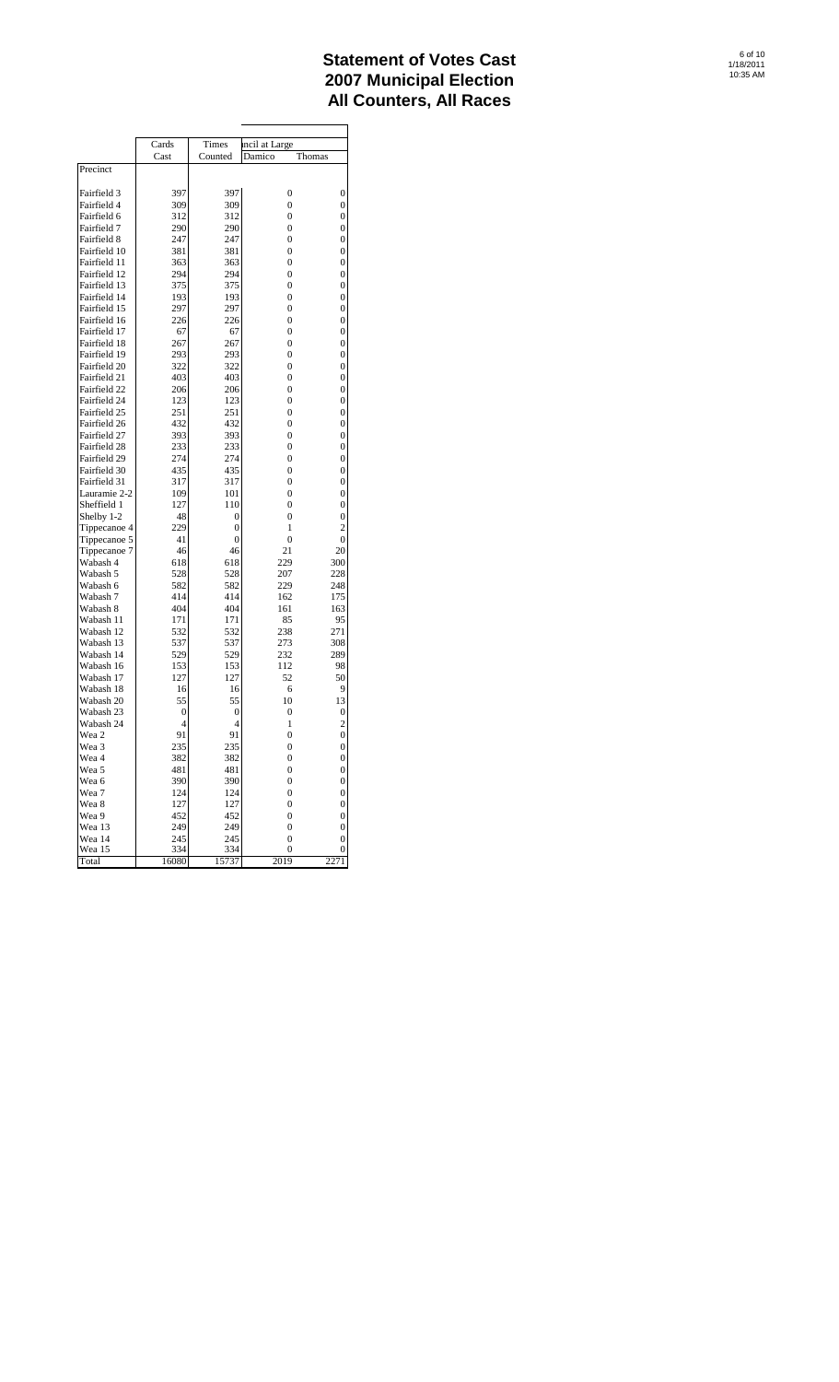|                              | Cards      | Times      | incil at Large      |                |
|------------------------------|------------|------------|---------------------|----------------|
|                              | Cast       | Counted    | Damico              | Thomas         |
| Precinct                     |            |            |                     |                |
| Fairfield 3                  | 397        | 397        | 0                   | 0              |
| Fairfield 4                  | 309        | 309        | $\overline{0}$      | 0              |
| Fairfield 6                  | 312        | 312        | 0                   | 0              |
| Fairfield 7                  | 290        | 290        | $\overline{0}$      | 0              |
| Fairfield 8                  | 247        | 247        | 0                   | 0              |
| Fairfield 10                 | 381        | 381        | $\overline{0}$      | 0              |
| Fairfield 11                 | 363        | 363        | $\overline{0}$      | 0              |
| Fairfield 12                 | 294        | 294        | 0                   | 0              |
| Fairfield 13                 | 375        | 375        | $\overline{0}$      | 0              |
| Fairfield 14                 | 193        | 193        | 0                   | 0              |
| Fairfield 15                 | 297        | 297        | 0                   | 0              |
| Fairfield 16                 | 226        | 226        | $\overline{0}$      | 0              |
| Fairfield 17                 | 67         | 67         | 0                   | 0              |
| Fairfield 18                 | 267        | 267        | $\overline{0}$      | 0              |
| Fairfield 19                 | 293        | 293        | 0                   | 0              |
| Fairfield 20                 | 322        | 322        | $\overline{0}$      | 0              |
| Fairfield 21<br>Fairfield 22 | 403<br>206 | 403<br>206 | $\overline{0}$<br>0 | 0<br>0         |
| Fairfield 24                 | 123        | 123        | $\overline{0}$      | 0              |
| Fairfield 25                 | 251        | 251        | 0                   | 0              |
| Fairfield 26                 | 432        | 432        | $\overline{0}$      | 0              |
| Fairfield 27                 | 393        | 393        | $\overline{0}$      | 0              |
| Fairfield 28                 | 233        | 233        | 0                   | 0              |
| Fairfield 29                 | 274        | 274        | $\overline{0}$      | 0              |
| Fairfield 30                 | 435        | 435        | 0                   | 0              |
| Fairfield 31                 | 317        | 317        | $\overline{0}$      | 0              |
| Lauramie 2-2                 | 109        | 101        | $\overline{0}$      | 0              |
| Sheffield 1                  | 127        | 110        | 0                   | 0              |
| Shelby 1-2                   | 48         | 0          | $\overline{0}$      | 0              |
| Tippecanoe 4                 | 229        | 0          | 1                   | $\overline{c}$ |
| Tippecanoe 5                 | 41         | 0          | 0                   | 0              |
| Tippecanoe 7                 | 46         | 46         | 21                  | 20             |
| Wabash 4                     | 618        | 618        | 229                 | 300            |
| Wabash 5                     | 528        | 528        | 207                 | 228            |
| Wabash 6<br>Wabash 7         | 582<br>414 | 582<br>414 | 229<br>162          | 248<br>175     |
| Wabash 8                     | 404        | 404        | 161                 | 163            |
| Wabash 11                    | 171        | 171        | 85                  | 95             |
| Wabash 12                    | 532        | 532        | 238                 | 271            |
| Wabash 13                    | 537        | 537        | 273                 | 308            |
| Wabash 14                    | 529        | 529        | 232                 | 289            |
| Wabash 16                    | 153        | 153        | 112                 | 98             |
| Wabash 17                    | 127        | 127        | 52                  | 50             |
| Wabash 18                    | 16         | 16         | 6                   | 9              |
| Wabash 20                    | 55         | 55         | 10                  | 13             |
| Wabash 23                    | 0          | 0          | 0                   | 0              |
| Wabash 24                    | 4          | 4          | 1                   | $\overline{c}$ |
| Wea 2                        | 91         | 91         | $\overline{0}$      | 0              |
| Wea 3                        | 235        | 235        | $\boldsymbol{0}$    | 0              |
| Wea 4                        | 382        | 382        | 0                   | 0              |
| Wea 5                        | 481        | 481        | 0                   | 0              |
| Wea 6<br>Wea 7               | 390<br>124 | 390<br>124 | 0<br>0              | 0<br>0         |
| Wea 8                        | 127        | 127        | 0                   | 0              |
| Wea 9                        | 452        | 452        | 0                   | 0              |
| Wea 13                       | 249        | 249        | 0                   | 0              |
| Wea 14                       | 245        | 245        | 0                   | 0              |
| Wea 15                       | 334        | 334        | 0                   | 0              |
| Total                        | 16080      | 15737      | 2019                | 2271           |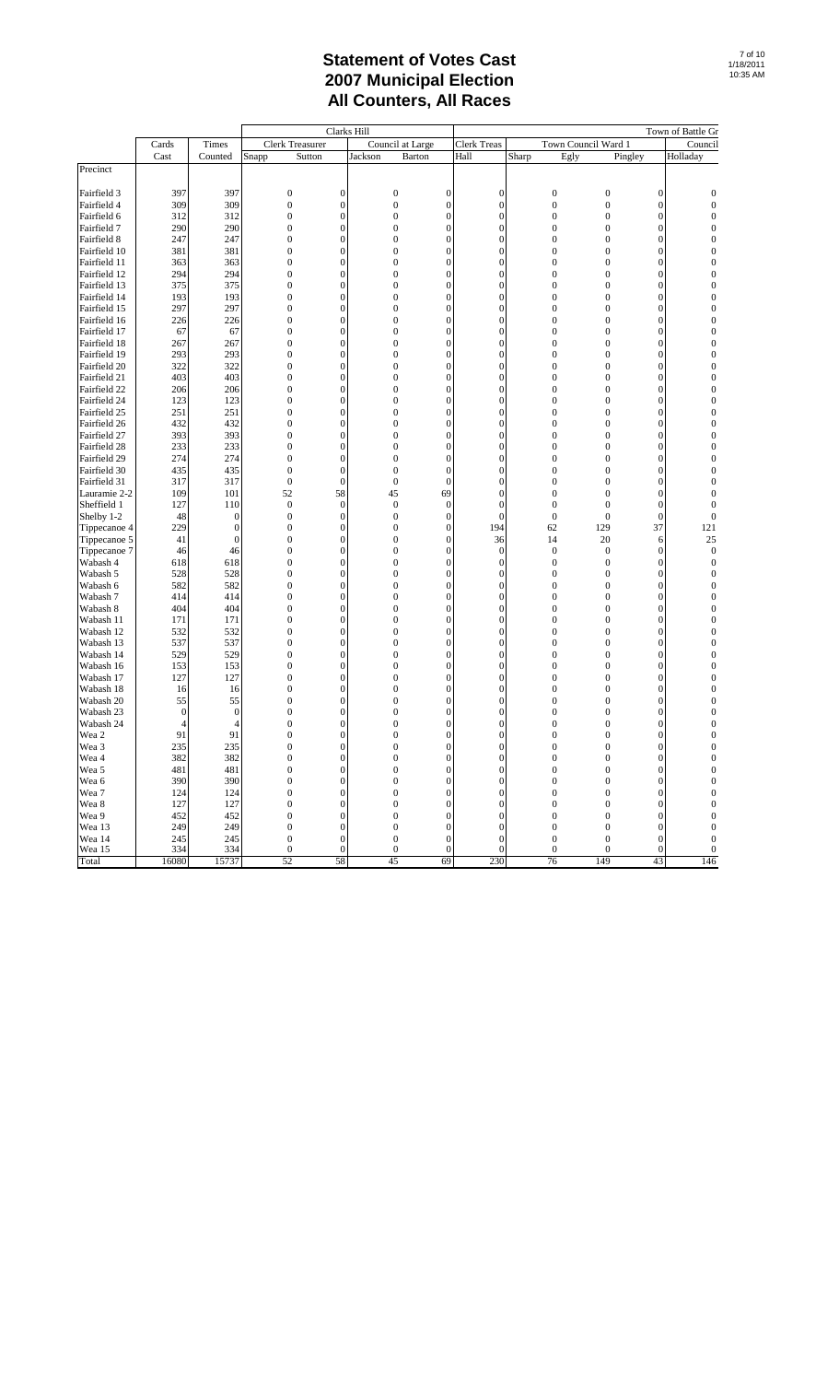|                        |                |                |                                  | Clarks Hill                  |                                      |                   |                                      |                              |                                      |                                  | Town of Battle Gr            |
|------------------------|----------------|----------------|----------------------------------|------------------------------|--------------------------------------|-------------------|--------------------------------------|------------------------------|--------------------------------------|----------------------------------|------------------------------|
|                        | Cards          | Times          | <b>Clerk Treasurer</b>           |                              |                                      | Council at Large  | <b>Clerk Treas</b>                   |                              | Town Council Ward 1                  |                                  | Council                      |
|                        | Cast           | Counted        | Sutton<br>Snapp                  |                              | Jackson                              | Barton            | Hall                                 | Sharp                        | Egly<br>Pingley                      |                                  | Holladay                     |
| Precinct               |                |                |                                  |                              |                                      |                   |                                      |                              |                                      |                                  |                              |
| Fairfield 3            | 397            | 397            | $\boldsymbol{0}$                 | $\mathbf{0}$                 | $\boldsymbol{0}$                     | $\mathbf{0}$      | $\boldsymbol{0}$                     | $\boldsymbol{0}$             | $\boldsymbol{0}$                     | $\boldsymbol{0}$                 | $\boldsymbol{0}$             |
| Fairfield 4            | 309            | 309            | $\mathbf{0}$                     | 0                            | $\boldsymbol{0}$                     | $\mathbf{0}$      | $\boldsymbol{0}$                     | $\mathbf{0}$                 | $\boldsymbol{0}$                     | $\overline{0}$                   | $\mathbf{0}$                 |
| Fairfield 6            | 312            | 312            | $\boldsymbol{0}$                 | $\mathbf{0}$                 | $\boldsymbol{0}$                     | $\mathbf{0}$      | $\overline{0}$                       | $\mathbf{0}$                 | $\boldsymbol{0}$                     | $\overline{0}$                   | $\mathbf{0}$                 |
| Fairfield 7            | 290            | 290            | $\mathbf{0}$                     | $\mathbf{0}$                 | $\boldsymbol{0}$                     | $\mathbf{0}$      | $\boldsymbol{0}$                     | $\mathbf{0}$                 | $\boldsymbol{0}$                     | $\overline{0}$                   | $\mathbf{0}$                 |
| Fairfield 8            | 247            | 247            | $\mathbf{0}$                     | 0                            | $\boldsymbol{0}$                     | 0                 | $\mathbf{0}$                         | $\mathbf{0}$                 | 0                                    | $\overline{0}$                   | 0                            |
| Fairfield 10           | 381            | 381            | $\boldsymbol{0}$                 | $\mathbf{0}$                 | $\boldsymbol{0}$                     | $\mathbf{0}$      | $\boldsymbol{0}$                     | $\mathbf{0}$                 | $\boldsymbol{0}$                     | $\overline{0}$                   | $\mathbf{0}$                 |
| Fairfield 11           | 363            | 363            | $\boldsymbol{0}$                 | $\mathbf{0}$                 | $\boldsymbol{0}$                     | $\mathbf{0}$      | $\boldsymbol{0}$                     | $\mathbf{0}$                 | $\boldsymbol{0}$                     | $\overline{0}$                   | $\mathbf{0}$                 |
| Fairfield 12           | 294            | 294            | $\mathbf{0}$                     | 0                            | 0                                    | $\mathbf{0}$      | $\overline{0}$                       | $\mathbf{0}$                 | $\boldsymbol{0}$                     | 0                                | 0                            |
| Fairfield 13           | 375            | 375            | $\mathbf{0}$                     | $\mathbf{0}$                 | $\boldsymbol{0}$                     | $\mathbf{0}$      | $\boldsymbol{0}$                     | $\mathbf{0}$                 | $\boldsymbol{0}$                     | $\overline{0}$                   | $\mathbf{0}$                 |
| Fairfield 14           | 193            | 193            | $\boldsymbol{0}$                 | 0                            | $\boldsymbol{0}$                     | $\mathbf{0}$      | $\boldsymbol{0}$                     | $\mathbf{0}$                 | $\boldsymbol{0}$                     | $\overline{0}$                   | $\mathbf{0}$                 |
| Fairfield 15           | 297            | 297            | $\boldsymbol{0}$                 | $\mathbf{0}$                 | $\boldsymbol{0}$                     | $\mathbf{0}$      | $\boldsymbol{0}$                     | $\mathbf{0}$                 | $\boldsymbol{0}$                     | $\overline{0}$                   | $\boldsymbol{0}$             |
| Fairfield 16           | 226            | 226            | $\boldsymbol{0}$                 | $\mathbf{0}$                 | $\boldsymbol{0}$                     | $\mathbf{0}$      | $\boldsymbol{0}$                     | $\mathbf{0}$                 | $\boldsymbol{0}$                     | $\overline{0}$                   | $\boldsymbol{0}$             |
| Fairfield 17           | 67             | 67             | $\mathbf{0}$                     | $\mathbf{0}$                 | $\boldsymbol{0}$                     | $\mathbf{0}$      | $\boldsymbol{0}$                     | $\mathbf{0}$                 | $\boldsymbol{0}$                     | $\overline{0}$                   | $\boldsymbol{0}$             |
| Fairfield 18           | 267            | 267            | $\mathbf{0}$                     | $\mathbf{0}$                 | $\boldsymbol{0}$                     | $\mathbf{0}$      | $\boldsymbol{0}$                     | $\mathbf{0}$                 | $\boldsymbol{0}$                     | $\overline{0}$                   | $\overline{0}$               |
| Fairfield 19           | 293            | 293            | $\mathbf{0}$                     | $\mathbf{0}$                 | $\boldsymbol{0}$                     | 0                 | $\boldsymbol{0}$                     | $\mathbf{0}$                 | $\boldsymbol{0}$                     | $\overline{0}$                   | $\mathbf{0}$                 |
| Fairfield 20           | 322            | 322            | $\boldsymbol{0}$                 | $\mathbf{0}$                 | $\boldsymbol{0}$                     | $\mathbf{0}$      | $\boldsymbol{0}$                     | $\mathbf{0}$                 | $\boldsymbol{0}$                     | $\overline{0}$                   | $\overline{0}$               |
| Fairfield 21           | 403            | 403            | $\mathbf{0}$                     | $\mathbf{0}$                 | $\boldsymbol{0}$                     | $\mathbf{0}$      | $\mathbf{0}$                         | $\mathbf{0}$                 | $\boldsymbol{0}$                     | $\overline{0}$                   | $\overline{0}$               |
| Fairfield 22           | 206            | 206            | $\mathbf{0}$                     | $\mathbf{0}$                 | $\boldsymbol{0}$                     | 0                 | $\overline{0}$                       | $\mathbf{0}$                 | $\boldsymbol{0}$                     | $\overline{0}$                   | 0                            |
| Fairfield 24           | 123            | 123            | $\mathbf{0}$                     | $\mathbf{0}$                 | $\boldsymbol{0}$                     | $\mathbf{0}$      | $\boldsymbol{0}$                     | $\mathbf{0}$                 | $\boldsymbol{0}$                     | $\overline{0}$                   | $\overline{0}$               |
| Fairfield 25           | 251            | 251            | $\mathbf{0}$                     | $\mathbf{0}$                 | $\boldsymbol{0}$                     | 0                 | $\boldsymbol{0}$                     | $\mathbf{0}$                 | $\boldsymbol{0}$                     | $\overline{0}$                   | $\mathbf{0}$                 |
| Fairfield 26           | 432            | 432            | $\boldsymbol{0}$                 | $\mathbf{0}$                 | $\boldsymbol{0}$                     | $\mathbf{0}$      | $\boldsymbol{0}$                     | $\mathbf{0}$                 | $\boldsymbol{0}$                     | $\overline{0}$                   | $\boldsymbol{0}$             |
| Fairfield 27           | 393            | 393            | $\boldsymbol{0}$                 | $\mathbf{0}$                 | $\boldsymbol{0}$                     | $\mathbf{0}$      | $\boldsymbol{0}$                     | $\mathbf{0}$                 | $\boldsymbol{0}$                     | $\overline{0}$                   | $\boldsymbol{0}$             |
| Fairfield 28           | 233            | 233            | $\boldsymbol{0}$                 | 0                            | $\boldsymbol{0}$                     | $\mathbf{0}$      | $\boldsymbol{0}$                     | $\mathbf{0}$                 | $\boldsymbol{0}$                     | $\overline{0}$                   | 0                            |
| Fairfield 29           | 274            | 274            | $\mathbf{0}$                     | $\mathbf{0}$                 | $\boldsymbol{0}$                     | $\mathbf{0}$      | $\boldsymbol{0}$                     | $\mathbf{0}$                 | $\boldsymbol{0}$                     | $\overline{0}$                   | $\overline{0}$               |
| Fairfield 30           | 435            | 435            | $\mathbf{0}$                     | 0                            | $\boldsymbol{0}$                     | $\mathbf{0}$      | $\boldsymbol{0}$                     | $\mathbf{0}$                 | $\boldsymbol{0}$                     | $\overline{0}$                   | $\mathbf{0}$                 |
| Fairfield 31           | 317            | 317            | $\boldsymbol{0}$                 | $\mathbf{0}$                 | $\boldsymbol{0}$                     | $\mathbf{0}$      | $\boldsymbol{0}$                     | $\mathbf{0}$                 | $\boldsymbol{0}$                     | $\overline{0}$                   | $\overline{0}$               |
| Lauramie 2-2           | 109            | 101            | 52                               | 58                           | 45                                   | 69                | $\boldsymbol{0}$                     | $\mathbf{0}$                 | $\boldsymbol{0}$                     | $\mathbf{0}$                     | $\mathbf{0}$                 |
| Sheffield 1            | 127            | 110            | $\boldsymbol{0}$                 | $\mathbf{0}$                 | $\boldsymbol{0}$                     | $\boldsymbol{0}$  | $\overline{0}$                       | $\mathbf{0}$                 | $\boldsymbol{0}$                     | $\mathbf{0}$                     | 0                            |
| Shelby 1-2             | 48             | $\theta$       | $\mathbf{0}$                     | $\mathbf{0}$                 | $\boldsymbol{0}$                     | $\mathbf{0}$      | $\mathbf{0}$                         | $\mathbf{0}$                 | $\boldsymbol{0}$                     | $\mathbf{0}$                     | $\overline{0}$               |
| Tippecanoe 4           | 229            | $\theta$       | $\mathbf{0}$                     | 0                            | $\boldsymbol{0}$                     | $\mathbf{0}$      | 194                                  | 62                           | 129                                  | 37                               | 121                          |
| Tippecanoe 5           | 41             | $\theta$       | $\mathbf{0}$                     | $\mathbf{0}$                 | $\boldsymbol{0}$                     | $\mathbf{0}$      | 36                                   | 14                           | 20                                   | 6                                | 25                           |
| Tippecanoe 7           | 46             | 46             | $\mathbf{0}$                     | $\mathbf{0}$                 | $\boldsymbol{0}$                     | $\mathbf{0}$      | $\theta$                             | $\mathbf{0}$                 | $\boldsymbol{0}$                     | $\mathbf{0}$                     | $\boldsymbol{0}$             |
| Wabash 4               | 618            | 618            | $\mathbf{0}$                     | $\mathbf{0}$                 | $\boldsymbol{0}$                     | $\mathbf{0}$      | $\boldsymbol{0}$                     | $\boldsymbol{0}$             | $\boldsymbol{0}$                     | $\overline{0}$                   | 0                            |
| Wabash 5               | 528            | 528            | $\mathbf{0}$                     | $\mathbf{0}$                 | $\boldsymbol{0}$                     | $\mathbf{0}$      | $\boldsymbol{0}$                     | $\mathbf{0}$                 | $\boldsymbol{0}$                     | $\overline{0}$                   | $\boldsymbol{0}$             |
| Wabash 6               | 582            | 582            | $\mathbf{0}$                     | 0                            | $\boldsymbol{0}$                     | 0                 | $\boldsymbol{0}$                     | $\mathbf{0}$                 | $\boldsymbol{0}$                     | $\overline{0}$                   | $\boldsymbol{0}$             |
| Wabash 7               | 414            | 414            | $\boldsymbol{0}$                 | $\mathbf{0}$                 | $\boldsymbol{0}$                     | $\mathbf{0}$      | $\boldsymbol{0}$                     | $\mathbf{0}$                 | $\boldsymbol{0}$                     | $\overline{0}$                   | $\boldsymbol{0}$             |
| Wabash 8               | 404            | 404            | $\mathbf{0}$                     | $\mathbf{0}$                 | $\boldsymbol{0}$                     | $\mathbf{0}$      | $\boldsymbol{0}$                     | $\mathbf{0}$                 | $\boldsymbol{0}$                     | $\overline{0}$                   | $\boldsymbol{0}$             |
| Wabash 11              | 171            | 171            | $\mathbf{0}$                     | 0                            | $\boldsymbol{0}$                     | $\mathbf{0}$      | $\boldsymbol{0}$                     | $\mathbf{0}$                 | $\boldsymbol{0}$                     | $\overline{0}$                   | 0                            |
| Wabash 12              | 532            | 532            | $\mathbf{0}$                     | $\mathbf{0}$                 | $\boldsymbol{0}$                     | $\mathbf{0}$      | $\boldsymbol{0}$                     | $\mathbf{0}$                 | $\boldsymbol{0}$                     | $\overline{0}$                   | $\overline{0}$               |
| Wabash 13              | 537            | 537            | $\mathbf{0}$<br>$\boldsymbol{0}$ | $\mathbf{0}$<br>$\mathbf{0}$ | $\boldsymbol{0}$                     | 0<br>$\mathbf{0}$ | $\boldsymbol{0}$<br>$\boldsymbol{0}$ | $\mathbf{0}$<br>$\mathbf{0}$ | $\boldsymbol{0}$<br>$\boldsymbol{0}$ | $\overline{0}$<br>$\overline{0}$ | $\mathbf{0}$<br>$\mathbf{0}$ |
| Wabash 14              | 529            | 529            |                                  |                              | $\boldsymbol{0}$                     |                   | $\overline{0}$                       |                              |                                      |                                  |                              |
| Wabash 16              | 153            | 153            | $\mathbf{0}$<br>$\mathbf{0}$     | $\mathbf{0}$<br>$\mathbf{0}$ | $\boldsymbol{0}$<br>$\boldsymbol{0}$ | $\mathbf{0}$<br>0 | $\overline{0}$                       | $\mathbf{0}$<br>$\mathbf{0}$ | $\boldsymbol{0}$<br>$\boldsymbol{0}$ | $\overline{0}$<br>$\overline{0}$ | $\mathbf{0}$<br>0            |
| Wabash 17              | 127            | 127            | $\mathbf{0}$                     | $\mathbf{0}$                 | $\boldsymbol{0}$                     | $\mathbf{0}$      | $\mathbf{0}$                         | $\mathbf{0}$                 | $\boldsymbol{0}$                     | $\overline{0}$                   | $\overline{0}$               |
| Wabash 18<br>Wabash 20 | 16<br>55       | 16<br>55       | $\mathbf{0}$                     | 0                            | 0                                    | 0                 | $\mathbf{0}$                         | $\mathbf{0}$                 | 0                                    | 0                                | 0                            |
| Wabash 23              | 0              | $\theta$       | $\mathbf{0}$                     | $\mathbf{0}$                 | $\boldsymbol{0}$                     | $\boldsymbol{0}$  | $\boldsymbol{0}$                     | $\mathbf{0}$                 | $\boldsymbol{0}$                     | $\overline{0}$                   | $\overline{0}$               |
| Wabash 24              | $\overline{4}$ | $\overline{4}$ | $\boldsymbol{0}$                 | $\mathbf{0}$                 | $\boldsymbol{0}$                     | $\mathbf{0}$      | $\boldsymbol{0}$                     | $\mathbf{0}$                 | $\boldsymbol{0}$                     | $\mathbf{0}$                     | $\mathbf{0}$                 |
| Wea 2                  | 91             | 91             | $\Omega$                         | $\Omega$                     | 0                                    | 0                 | $\Omega$                             | $\Omega$                     | $\Omega$                             | $\Omega$                         | $\Omega$                     |
| Wea 3                  | 235            | 235            | $\boldsymbol{0}$                 | $\mathbf{0}$                 | $\boldsymbol{0}$                     | $\boldsymbol{0}$  | $\boldsymbol{0}$                     | $\boldsymbol{0}$             | $\boldsymbol{0}$                     | $\boldsymbol{0}$                 | $\boldsymbol{0}$             |
| Wea 4                  | 382            | 382            | $\boldsymbol{0}$                 | 0                            | $\boldsymbol{0}$                     | $\overline{0}$    | $\boldsymbol{0}$                     | $\mathbf{0}$                 | $\boldsymbol{0}$                     | $\overline{0}$                   | $\boldsymbol{0}$             |
| Wea 5                  | 481            | 481            | $\boldsymbol{0}$                 | $\mathbf{0}$                 | $\boldsymbol{0}$                     | $\overline{0}$    | $\boldsymbol{0}$                     | $\mathbf{0}$                 | $\boldsymbol{0}$                     | $\boldsymbol{0}$                 | $\boldsymbol{0}$             |
| Wea 6                  | 390            | 390            | $\mathbf{0}$                     | 0                            | $\boldsymbol{0}$                     | $\mathbf{0}$      | $\boldsymbol{0}$                     | $\mathbf{0}$                 | 0                                    | $\overline{0}$                   | $\boldsymbol{0}$             |
| Wea 7                  | 124            | 124            | $\boldsymbol{0}$                 | 0                            | 0                                    | $\mathbf{0}$      | $\mathbf{0}$                         | $\mathbf{0}$                 | 0                                    | $\mathbf{0}$                     | 0                            |
| Wea 8                  | 127            | 127            | $\mathbf{0}$                     | 0                            | $\boldsymbol{0}$                     | $\mathbf{0}$      | $\boldsymbol{0}$                     | $\overline{0}$               | $\boldsymbol{0}$                     | $\mathbf{0}$                     | $\mathbf{0}$                 |
| Wea 9                  | 452            | 452            | $\boldsymbol{0}$                 | $\mathbf{0}$                 | $\boldsymbol{0}$                     | $\mathbf{0}$      | $\mathbf{0}$                         | $\overline{0}$               | $\boldsymbol{0}$                     | $\mathbf{0}$                     | $\boldsymbol{0}$             |
| Wea 13                 | 249            | 249            | $\boldsymbol{0}$                 | $\boldsymbol{0}$             | $\boldsymbol{0}$                     | $\boldsymbol{0}$  | $\boldsymbol{0}$                     | $\mathbf{0}$                 | $\boldsymbol{0}$                     | $\mathbf{0}$                     | $\boldsymbol{0}$             |
| Wea 14                 | 245            | 245            | $\boldsymbol{0}$                 | $\mathbf{0}$                 | $\boldsymbol{0}$                     | $\boldsymbol{0}$  | $\boldsymbol{0}$                     | $\mathbf{0}$                 | $\boldsymbol{0}$                     | $\mathbf{0}$                     | $\boldsymbol{0}$             |
| Wea 15                 | 334            | 334            | $\boldsymbol{0}$                 | $\mathbf{0}$                 | $\boldsymbol{0}$                     | $\overline{0}$    | $\mathbf{0}$                         | $\mathbf{0}$                 | $\boldsymbol{0}$                     | $\mathbf{0}$                     | $\boldsymbol{0}$             |
| Total                  | 16080          | 15737          | 52                               | 58                           | 45                                   | 69                | 230                                  | 76                           | 149                                  | 43                               | 146                          |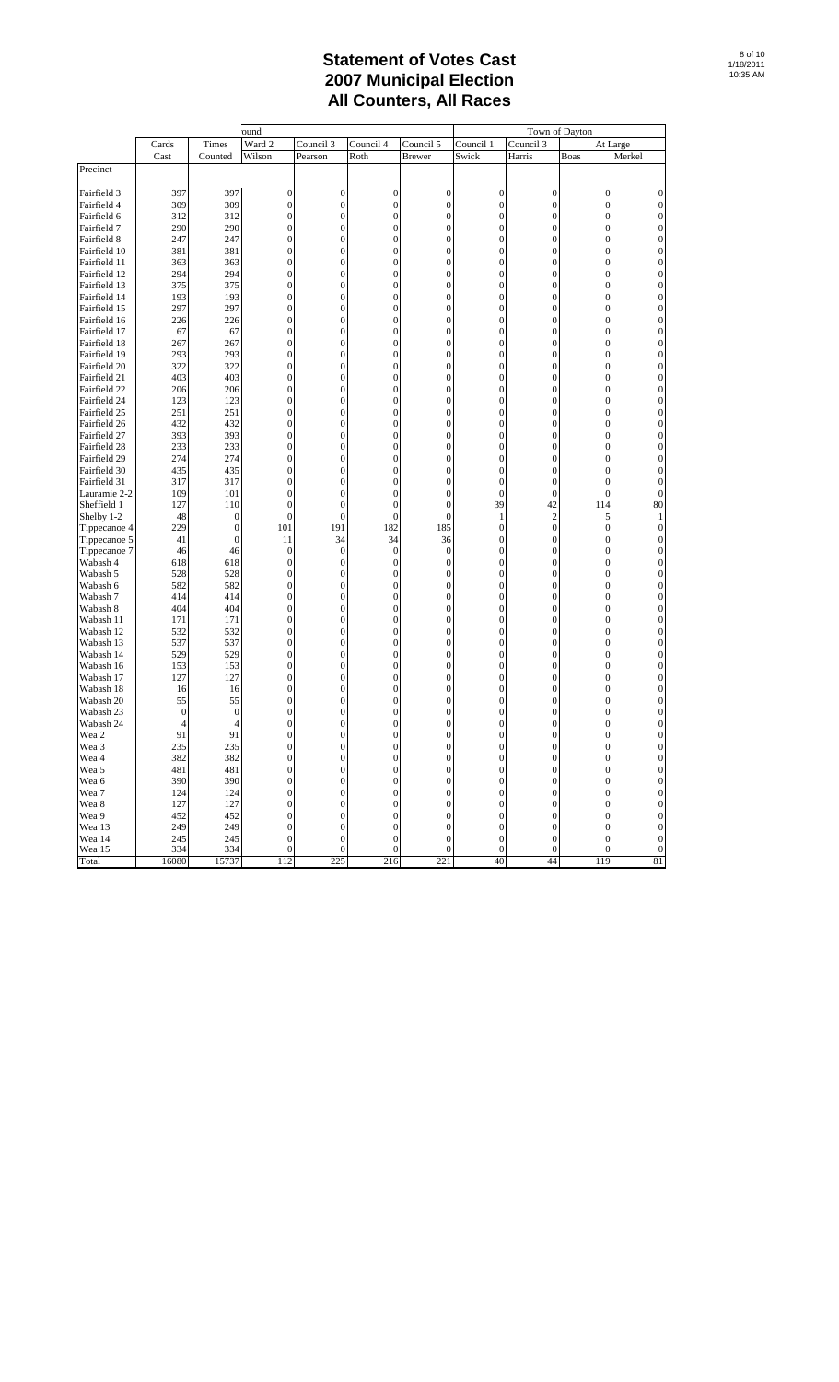|                              |                |                                      | ound                             |                                      |                                      |                                      |                                      |                                  | Town of Dayton                       |                                      |
|------------------------------|----------------|--------------------------------------|----------------------------------|--------------------------------------|--------------------------------------|--------------------------------------|--------------------------------------|----------------------------------|--------------------------------------|--------------------------------------|
|                              | Cards          | Times                                | Ward 2                           | Council 3                            | Council 4                            | Council 5                            | Council 1                            | Council 3                        | At Large                             |                                      |
|                              | Cast           | Counted                              | Wilson                           | Pearson                              | Roth                                 | <b>Brewer</b>                        | Swick                                | Harris                           | Boas                                 | Merkel                               |
| Precinct                     |                |                                      |                                  |                                      |                                      |                                      |                                      |                                  |                                      |                                      |
|                              | 397            | 397                                  |                                  |                                      |                                      |                                      |                                      |                                  |                                      |                                      |
| Fairfield 3<br>Fairfield 4   | 309            | 309                                  | $\mathbf{0}$<br>$\mathbf{0}$     | $\boldsymbol{0}$<br>$\boldsymbol{0}$ | $\bf{0}$<br>$\mathbf{0}$             | $\boldsymbol{0}$<br>$\boldsymbol{0}$ | $\mathbf{0}$<br>$\boldsymbol{0}$     | $\mathbf{0}$<br>0                | $\boldsymbol{0}$<br>$\boldsymbol{0}$ | 0<br>$\mathbf{0}$                    |
| Fairfield 6                  | 312            | 312                                  | $\boldsymbol{0}$                 | $\boldsymbol{0}$                     | $\mathbf{0}$                         | $\mathbf{0}$                         | $\boldsymbol{0}$                     | $\overline{0}$                   | $\boldsymbol{0}$                     | $\mathbf{0}$                         |
| Fairfield 7                  | 290            | 290                                  | $\mathbf{0}$                     | $\boldsymbol{0}$                     | $\mathbf{0}$                         | $\overline{0}$                       | $\boldsymbol{0}$                     | $\overline{0}$                   | $\boldsymbol{0}$                     | $\overline{0}$                       |
| Fairfield 8                  | 247            | 247                                  | $\mathbf{0}$                     | $\boldsymbol{0}$                     | $\mathbf{0}$                         | 0                                    | $\boldsymbol{0}$                     | $\overline{0}$                   | $\overline{0}$                       | $\mathbf{0}$                         |
| Fairfield 10                 | 381            | 381                                  | $\mathbf{0}$                     | $\boldsymbol{0}$                     | $\mathbf{0}$                         | $\boldsymbol{0}$                     | $\boldsymbol{0}$                     | 0                                | $\boldsymbol{0}$                     | $\mathbf{0}$                         |
| Fairfield 11                 | 363            | 363                                  | $\mathbf{0}$                     | 0                                    | $\mathbf{0}$                         | 0                                    | $\boldsymbol{0}$                     | 0                                | $\boldsymbol{0}$                     | $\boldsymbol{0}$                     |
| Fairfield 12                 | 294            | 294                                  | $\boldsymbol{0}$                 | $\boldsymbol{0}$                     | $\boldsymbol{0}$                     | $\mathbf{0}$                         | $\boldsymbol{0}$                     | $\overline{0}$                   | $\boldsymbol{0}$                     | $\mathbf{0}$                         |
| Fairfield 13                 | 375            | 375                                  | $\mathbf{0}$                     | $\boldsymbol{0}$                     | $\mathbf{0}$                         | $\overline{0}$                       | $\boldsymbol{0}$                     | $\overline{0}$                   | $\boldsymbol{0}$                     | $\boldsymbol{0}$                     |
| Fairfield 14                 | 193            | 193                                  | $\mathbf{0}$                     | $\boldsymbol{0}$                     | $\mathbf{0}$                         | $\boldsymbol{0}$                     | $\boldsymbol{0}$                     | 0                                | $\overline{0}$                       | $\mathbf{0}$                         |
| Fairfield 15                 | 297            | 297                                  | $\mathbf{0}$                     | $\boldsymbol{0}$                     | $\mathbf{0}$                         | $\boldsymbol{0}$                     | $\boldsymbol{0}$                     | 0                                | $\boldsymbol{0}$                     | $\boldsymbol{0}$                     |
| Fairfield 16                 | 226            | 226                                  | $\mathbf{0}$                     | 0                                    | $\mathbf{0}$                         | 0                                    | $\boldsymbol{0}$                     | 0                                | $\boldsymbol{0}$                     | $\boldsymbol{0}$                     |
| Fairfield 17                 | 67             | 67                                   | $\boldsymbol{0}$                 | $\boldsymbol{0}$                     | $\boldsymbol{0}$                     | $\mathbf{0}$                         | $\boldsymbol{0}$                     | $\overline{0}$                   | $\boldsymbol{0}$                     | $\mathbf{0}$                         |
| Fairfield 18                 | 267            | 267                                  | $\mathbf{0}$                     | $\boldsymbol{0}$                     | $\mathbf{0}$                         | 0                                    | $\boldsymbol{0}$                     | $\overline{0}$                   | $\boldsymbol{0}$                     | 0                                    |
| Fairfield 19                 | 293            | 293                                  | $\mathbf{0}$                     | $\boldsymbol{0}$                     | $\mathbf{0}$                         | 0                                    | $\boldsymbol{0}$                     | 0                                | $\overline{0}$                       | $\overline{0}$                       |
| Fairfield 20                 | 322            | 322                                  | $\mathbf{0}$                     | $\boldsymbol{0}$                     | $\mathbf{0}$                         | $\boldsymbol{0}$                     | $\boldsymbol{0}$                     | 0                                | $\boldsymbol{0}$                     | $\boldsymbol{0}$                     |
| Fairfield 21<br>Fairfield 22 | 403<br>206     | 403<br>206                           | $\mathbf{0}$<br>$\boldsymbol{0}$ | 0<br>$\boldsymbol{0}$                | $\mathbf{0}$<br>$\boldsymbol{0}$     | 0<br>$\mathbf{0}$                    | $\boldsymbol{0}$<br>$\boldsymbol{0}$ | 0<br>$\overline{0}$              | $\boldsymbol{0}$<br>$\boldsymbol{0}$ | $\boldsymbol{0}$<br>$\mathbf{0}$     |
| Fairfield 24                 | 123            | 123                                  | $\mathbf{0}$                     | $\boldsymbol{0}$                     | $\mathbf{0}$                         | $\overline{0}$                       | $\boldsymbol{0}$                     | $\overline{0}$                   | $\boldsymbol{0}$                     | $\boldsymbol{0}$                     |
| Fairfield 25                 | 251            | 251                                  | $\mathbf{0}$                     | $\boldsymbol{0}$                     | $\mathbf{0}$                         | $\boldsymbol{0}$                     | $\boldsymbol{0}$                     | 0                                | $\overline{0}$                       | $\overline{0}$                       |
| Fairfield 26                 | 432            | 432                                  | $\mathbf{0}$                     | $\boldsymbol{0}$                     | $\mathbf{0}$                         | $\boldsymbol{0}$                     | $\boldsymbol{0}$                     | 0                                | $\boldsymbol{0}$                     | $\mathbf{0}$                         |
| Fairfield 27                 | 393            | 393                                  | $\mathbf{0}$                     | 0                                    | $\mathbf{0}$                         | $\overline{0}$                       | $\boldsymbol{0}$                     | 0                                | $\boldsymbol{0}$                     | $\boldsymbol{0}$                     |
| Fairfield 28                 | 233            | 233                                  | $\boldsymbol{0}$                 | $\boldsymbol{0}$                     | $\boldsymbol{0}$                     | $\mathbf{0}$                         | $\boldsymbol{0}$                     | $\overline{0}$                   | $\boldsymbol{0}$                     | $\mathbf{0}$                         |
| Fairfield 29                 | 274            | 274                                  | $\mathbf{0}$                     | $\boldsymbol{0}$                     | $\mathbf{0}$                         | $\overline{0}$                       | $\boldsymbol{0}$                     | $\overline{0}$                   | $\boldsymbol{0}$                     | $\mathbf 0$                          |
| Fairfield 30                 | 435            | 435                                  | $\mathbf{0}$                     | $\boldsymbol{0}$                     | $\mathbf{0}$                         | 0                                    | $\boldsymbol{0}$                     | 0                                | $\mathbf{0}$                         | $\mathbf{0}$                         |
| Fairfield 31                 | 317            | 317                                  | $\mathbf{0}$                     | $\boldsymbol{0}$                     | $\mathbf{0}$                         | $\boldsymbol{0}$                     | $\boldsymbol{0}$                     | $\overline{0}$                   | $\mathbf{0}$                         | $\mathbf{0}$                         |
| Lauramie 2-2                 | 109            | 101                                  | $\bf{0}$                         | $\boldsymbol{0}$                     | $\mathbf{0}$                         | $\mathbf{0}$                         | $\boldsymbol{0}$                     | 0                                | $\boldsymbol{0}$                     | $\boldsymbol{0}$                     |
| Sheffield 1                  | 127            | 110                                  | $\mathbf{0}$                     | $\mathbf{0}$                         | $\mathbf{0}$                         | $\mathbf{0}$                         | 39                                   | 42                               | 114                                  | 80                                   |
| Shelby 1-2                   | 48             | $\boldsymbol{0}$                     | $\boldsymbol{0}$                 | $\boldsymbol{0}$                     | $\overline{0}$                       | $\boldsymbol{0}$                     | $\mathbf{1}$                         | 2                                | 5                                    | 1                                    |
| Tippecanoe 4<br>Tippecanoe 5 | 229<br>41      | $\boldsymbol{0}$<br>$\boldsymbol{0}$ | 101<br>11                        | 191<br>34                            | 182<br>34                            | 185<br>36                            | $\boldsymbol{0}$<br>$\boldsymbol{0}$ | 0<br>0                           | $\mathbf{0}$<br>$\boldsymbol{0}$     | $\boldsymbol{0}$<br>$\overline{0}$   |
| Tippecanoe 7                 | 46             | 46                                   | $\mathbf{0}$                     | $\boldsymbol{0}$                     | $\mathbf{0}$                         | $\boldsymbol{0}$                     | $\boldsymbol{0}$                     | 0                                | $\boldsymbol{0}$                     | $\boldsymbol{0}$                     |
| Wabash 4                     | 618            | 618                                  | $\mathbf{0}$                     | $\boldsymbol{0}$                     | $\mathbf{0}$                         | $\mathbf{0}$                         | $\boldsymbol{0}$                     | $\overline{0}$                   | $\boldsymbol{0}$                     | $\mathbf{0}$                         |
| Wabash 5                     | 528            | 528                                  | $\mathbf{0}$                     | 0                                    | $\mathbf{0}$                         | 0                                    | $\boldsymbol{0}$                     | $\overline{0}$                   | $\boldsymbol{0}$                     | 0                                    |
| Wabash 6                     | 582            | 582                                  | $\mathbf{0}$                     | $\boldsymbol{0}$                     | $\mathbf{0}$                         | $\boldsymbol{0}$                     | $\boldsymbol{0}$                     | 0                                | $\overline{0}$                       | $\mathbf{0}$                         |
| Wabash 7                     | 414            | 414                                  | $\mathbf{0}$                     | $\boldsymbol{0}$                     | $\mathbf{0}$                         | $\boldsymbol{0}$                     | $\boldsymbol{0}$                     | 0                                | $\boldsymbol{0}$                     | $\boldsymbol{0}$                     |
| Wabash 8                     | 404            | 404                                  | $\mathbf{0}$                     | 0                                    | $\mathbf{0}$                         | 0                                    | $\boldsymbol{0}$                     | 0                                | $\boldsymbol{0}$                     | $\boldsymbol{0}$                     |
| Wabash 11                    | 171            | 171                                  | $\boldsymbol{0}$                 | $\boldsymbol{0}$                     | $\boldsymbol{0}$                     | $\mathbf{0}$                         | $\boldsymbol{0}$                     | $\overline{0}$                   | $\boldsymbol{0}$                     | $\mathbf{0}$                         |
| Wabash 12                    | 532            | 532                                  | $\mathbf{0}$                     | $\boldsymbol{0}$                     | $\mathbf{0}$                         | $\overline{0}$                       | $\boldsymbol{0}$                     | $\overline{0}$                   | $\boldsymbol{0}$                     | $\boldsymbol{0}$                     |
| Wabash 13                    | 537<br>529     | 537                                  | $\mathbf{0}$<br>$\mathbf{0}$     | $\boldsymbol{0}$                     | $\mathbf{0}$                         | 0                                    | $\boldsymbol{0}$<br>$\boldsymbol{0}$ | 0                                | $\overline{0}$                       | $\mathbf{0}$                         |
| Wabash 14<br>Wabash 16       | 153            | 529<br>153                           | $\mathbf{0}$                     | 0<br>0                               | $\mathbf{0}$<br>$\mathbf{0}$         | $\boldsymbol{0}$<br>$\overline{0}$   | $\boldsymbol{0}$                     | 0<br>0                           | $\boldsymbol{0}$<br>$\boldsymbol{0}$ | $\boldsymbol{0}$<br>$\boldsymbol{0}$ |
| Wabash 17                    | 127            | 127                                  | $\boldsymbol{0}$                 | $\boldsymbol{0}$                     | $\boldsymbol{0}$                     | $\mathbf{0}$                         | $\boldsymbol{0}$                     | $\overline{0}$                   | $\boldsymbol{0}$                     | $\mathbf{0}$                         |
| Wabash 18                    | 16             | 16                                   | $\mathbf{0}$                     | $\boldsymbol{0}$                     | $\mathbf{0}$                         | $\overline{0}$                       | $\mathbf{0}$                         | $\overline{0}$                   | 0                                    | $\mathbf 0$                          |
| Wabash 20                    | 55             | 55                                   | $\bf{0}$                         | $\boldsymbol{0}$                     | $\bf{0}$                             | 0                                    | $\boldsymbol{0}$                     | 0                                | 0                                    | $\mathbf{0}$                         |
| Wabash 23                    | $\overline{0}$ | $\boldsymbol{0}$                     | $\bf{0}$                         | 0                                    | $\bf{0}$                             | $\overline{0}$                       | $\boldsymbol{0}$                     | $\overline{0}$                   | $\mathbf{0}$                         | $\mathbf{0}$                         |
| Wabash 24                    | $\overline{4}$ | 4                                    | $\mathbf{0}$                     | 0                                    | $\mathbf{0}$                         | 0                                    | $\boldsymbol{0}$                     | 0                                | $\mathbf{0}$                         | $\boldsymbol{0}$                     |
| Wea 2                        | 91             | 91                                   | $\overline{0}$                   | $\overline{0}$                       | $\mathbf{0}$                         | $\mathbf{0}$                         | $\overline{0}$                       | $\overline{0}$                   | $\overline{0}$                       | $\mathbf{0}$                         |
| Wea 3                        | 235            | 235                                  | $\boldsymbol{0}$                 | $\boldsymbol{0}$                     | $\boldsymbol{0}$                     | $\boldsymbol{0}$                     | $\boldsymbol{0}$                     | $\boldsymbol{0}$                 | $\boldsymbol{0}$                     | $\mathbf{0}$                         |
| Wea 4                        | 382            | 382                                  | $\boldsymbol{0}$                 | $\boldsymbol{0}$                     | $\boldsymbol{0}$                     | $\boldsymbol{0}$                     | $\boldsymbol{0}$                     | $\boldsymbol{0}$                 | $\boldsymbol{0}$                     | $\theta$                             |
| Wea 5                        | 481            | 481                                  | $\boldsymbol{0}$                 | $\boldsymbol{0}$                     | $\boldsymbol{0}$                     | $\mathbf{0}$                         | $\boldsymbol{0}$                     | $\boldsymbol{0}$                 | $\mathbf{0}$                         | $\boldsymbol{0}$                     |
| Wea 6                        | 390            | 390                                  | $\boldsymbol{0}$                 | $\boldsymbol{0}$                     | $\boldsymbol{0}$                     | 0                                    | $\boldsymbol{0}$                     | 0                                | $\boldsymbol{0}$                     | $\boldsymbol{0}$                     |
| Wea 7<br>Wea 8               | 124<br>127     | 124<br>127                           | $\boldsymbol{0}$<br>$\mathbf{0}$ | $\boldsymbol{0}$<br>$\boldsymbol{0}$ | $\boldsymbol{0}$<br>$\boldsymbol{0}$ | $\mathbf{0}$<br>$\overline{0}$       | $\boldsymbol{0}$<br>$\boldsymbol{0}$ | $\boldsymbol{0}$<br>$\mathbf{0}$ | $\boldsymbol{0}$<br>$\boldsymbol{0}$ | $\boldsymbol{0}$                     |
| Wea 9                        | 452            | 452                                  | $\mathbf{0}$                     | $\boldsymbol{0}$                     | $\boldsymbol{0}$                     | $\boldsymbol{0}$                     | $\boldsymbol{0}$                     | $\boldsymbol{0}$                 | $\boldsymbol{0}$                     | $\boldsymbol{0}$<br>$\boldsymbol{0}$ |
| Wea 13                       | 249            | 249                                  | $\overline{0}$                   | $\boldsymbol{0}$                     | $\mathbf{0}$                         | $\mathbf{0}$                         | $\boldsymbol{0}$                     | $\overline{0}$                   | $\mathbf{0}$                         | $\boldsymbol{0}$                     |
| Wea 14                       | 245            | 245                                  | $\mathbf{0}$                     | $\boldsymbol{0}$                     | $\boldsymbol{0}$                     | $\boldsymbol{0}$                     | $\boldsymbol{0}$                     | 0                                | $\boldsymbol{0}$                     | $\boldsymbol{0}$                     |
| Wea 15                       | 334            | 334                                  | $\boldsymbol{0}$                 | $\boldsymbol{0}$                     | $\boldsymbol{0}$                     | $\boldsymbol{0}$                     | $\boldsymbol{0}$                     | $\mathbf{0}$                     | $\boldsymbol{0}$                     | $\boldsymbol{0}$                     |
| Total                        | 16080          | 15737                                | 112                              | 225                                  | 216                                  | 221                                  | 40                                   | 44                               | 119                                  | 81                                   |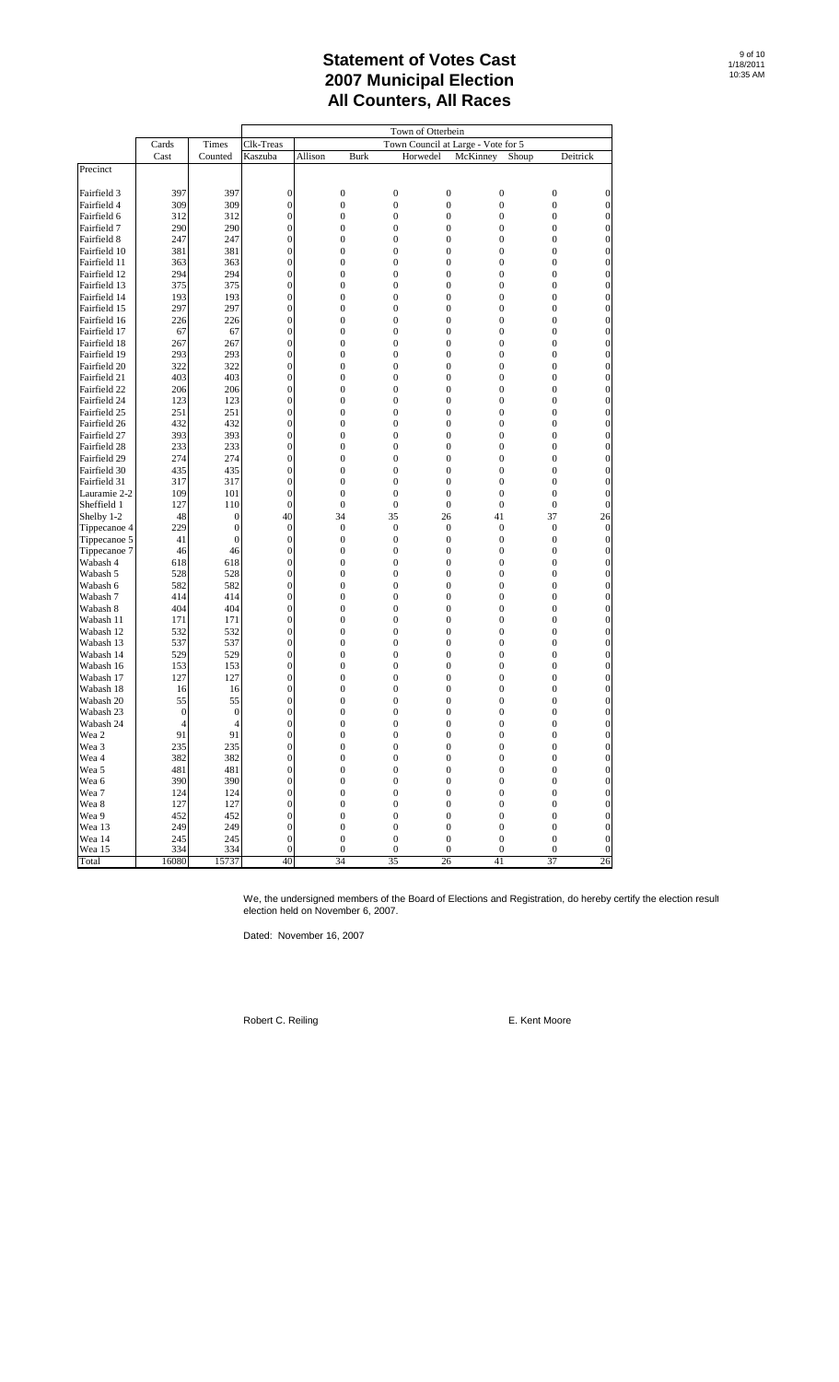|                          |              |                                  | Town of Otterbein                |         |                        |                                  |                                      |                                      |       |                                      |                                      |
|--------------------------|--------------|----------------------------------|----------------------------------|---------|------------------------|----------------------------------|--------------------------------------|--------------------------------------|-------|--------------------------------------|--------------------------------------|
|                          | Cards        | Times                            | Clk-Treas                        |         |                        |                                  |                                      | Town Council at Large - Vote for 5   |       |                                      |                                      |
|                          | Cast         | Counted                          | Kaszuba                          | Allison | <b>Burk</b>            |                                  | Horwedel                             | McKinney                             | Shoup | Deitrick                             |                                      |
| Precinct                 |              |                                  |                                  |         |                        |                                  |                                      |                                      |       |                                      |                                      |
|                          |              |                                  |                                  |         |                        |                                  |                                      |                                      |       |                                      |                                      |
| Fairfield 3              | 397          | 397                              | $\mathbf{0}$                     |         | $\boldsymbol{0}$       | $\boldsymbol{0}$                 | $\boldsymbol{0}$                     | $\boldsymbol{0}$                     |       | $\boldsymbol{0}$                     | $\boldsymbol{0}$                     |
| Fairfield 4              | 309          | 309                              | $\mathbf{0}$                     |         | $\boldsymbol{0}$       | $\boldsymbol{0}$                 | $\boldsymbol{0}$                     | $\boldsymbol{0}$                     |       | $\boldsymbol{0}$                     | $\boldsymbol{0}$                     |
| Fairfield 6              | 312          | 312                              | $\mathbf{0}$                     |         | $\boldsymbol{0}$       | $\mathbf{0}$                     | $\boldsymbol{0}$                     | $\boldsymbol{0}$                     |       | $\mathbf{0}$                         | $\boldsymbol{0}$                     |
| Fairfield 7              | 290          | 290                              | $\boldsymbol{0}$                 |         | $\boldsymbol{0}$       | $\boldsymbol{0}$                 | $\boldsymbol{0}$                     | $\boldsymbol{0}$                     |       | $\boldsymbol{0}$                     | $\boldsymbol{0}$                     |
| Fairfield 8              | 247          | 247                              | $\mathbf{0}$                     |         | $\boldsymbol{0}$       | $\boldsymbol{0}$                 | $\boldsymbol{0}$                     | $\boldsymbol{0}$                     |       | $\boldsymbol{0}$                     | $\boldsymbol{0}$                     |
| Fairfield 10             | 381          | 381                              | $\mathbf{0}$                     |         | $\boldsymbol{0}$       | $\boldsymbol{0}$                 | $\boldsymbol{0}$                     | $\boldsymbol{0}$                     |       | $\boldsymbol{0}$                     | $\boldsymbol{0}$                     |
| Fairfield 11             | 363          | 363                              | $\boldsymbol{0}$                 |         | $\boldsymbol{0}$       | $\boldsymbol{0}$                 | $\boldsymbol{0}$                     | $\boldsymbol{0}$                     |       | $\boldsymbol{0}$                     | $\boldsymbol{0}$                     |
| Fairfield 12             | 294          | 294                              | $\boldsymbol{0}$                 |         | $\boldsymbol{0}$       | $\mathbf{0}$                     | $\boldsymbol{0}$                     | $\overline{0}$                       |       | $\mathbf{0}$                         | $\boldsymbol{0}$                     |
| Fairfield 13             | 375          | 375                              | $\boldsymbol{0}$                 |         | $\boldsymbol{0}$       | $\boldsymbol{0}$                 | $\boldsymbol{0}$                     | $\boldsymbol{0}$                     |       | $\boldsymbol{0}$                     | $\boldsymbol{0}$                     |
| Fairfield 14             | 193          | 193                              | $\boldsymbol{0}$                 |         | $\boldsymbol{0}$       | $\boldsymbol{0}$                 | $\boldsymbol{0}$                     | $\boldsymbol{0}$                     |       | $\boldsymbol{0}$                     | $\boldsymbol{0}$                     |
| Fairfield 15             | 297          | 297                              | $\boldsymbol{0}$                 |         | $\boldsymbol{0}$       | $\boldsymbol{0}$                 | $\mathbf{0}$                         | $\boldsymbol{0}$                     |       | $\boldsymbol{0}$                     | $\boldsymbol{0}$                     |
| Fairfield 16             | 226          | 226                              | $\boldsymbol{0}$                 |         | $\boldsymbol{0}$       | $\boldsymbol{0}$                 | $\boldsymbol{0}$                     | $\boldsymbol{0}$                     |       | $\boldsymbol{0}$                     | $\boldsymbol{0}$                     |
| Fairfield 17             | 67           | 67                               | $\boldsymbol{0}$                 |         | $\boldsymbol{0}$       | $\mathbf{0}$                     | $\boldsymbol{0}$                     | $\overline{0}$                       |       | $\mathbf{0}$                         | $\boldsymbol{0}$                     |
| Fairfield 18             | 267          | 267                              | $\boldsymbol{0}$                 |         | $\boldsymbol{0}$       | $\boldsymbol{0}$                 | $\boldsymbol{0}$                     | $\boldsymbol{0}$                     |       | $\boldsymbol{0}$                     | $\boldsymbol{0}$                     |
| Fairfield 19             | 293          | 293                              | $\boldsymbol{0}$                 |         | $\boldsymbol{0}$       | $\boldsymbol{0}$                 | $\boldsymbol{0}$                     | $\boldsymbol{0}$                     |       | $\boldsymbol{0}$                     | $\boldsymbol{0}$                     |
| Fairfield 20             | 322          | 322                              | $\boldsymbol{0}$                 |         | $\boldsymbol{0}$       | $\boldsymbol{0}$                 | $\boldsymbol{0}$                     | $\boldsymbol{0}$                     |       | $\boldsymbol{0}$                     | $\boldsymbol{0}$                     |
| Fairfield 21             | 403          | 403                              | $\boldsymbol{0}$                 |         | $\boldsymbol{0}$       | $\boldsymbol{0}$                 | $\boldsymbol{0}$                     | $\boldsymbol{0}$                     |       | $\boldsymbol{0}$                     | $\boldsymbol{0}$                     |
| Fairfield 22             | 206          | 206                              | $\boldsymbol{0}$                 |         | $\boldsymbol{0}$       | $\mathbf{0}$                     | $\boldsymbol{0}$                     | $\overline{0}$                       |       | $\mathbf{0}$                         | $\boldsymbol{0}$                     |
| Fairfield 24             | 123          | 123                              | $\boldsymbol{0}$                 |         | $\boldsymbol{0}$       | $\boldsymbol{0}$                 | $\boldsymbol{0}$                     | $\boldsymbol{0}$                     |       | $\boldsymbol{0}$                     | $\boldsymbol{0}$                     |
| Fairfield 25             | 251          | 251                              | $\boldsymbol{0}$                 |         | $\boldsymbol{0}$       | $\boldsymbol{0}$                 | $\boldsymbol{0}$                     | $\boldsymbol{0}$                     |       | $\boldsymbol{0}$                     | $\boldsymbol{0}$                     |
| Fairfield 26             | 432          | 432                              | $\boldsymbol{0}$                 |         | $\boldsymbol{0}$       | $\boldsymbol{0}$                 | $\mathbf{0}$                         | $\boldsymbol{0}$                     |       | $\boldsymbol{0}$                     | $\boldsymbol{0}$                     |
| Fairfield 27             | 393          | 393                              | $\boldsymbol{0}$                 |         | $\boldsymbol{0}$       | $\boldsymbol{0}$                 | $\boldsymbol{0}$                     | $\boldsymbol{0}$                     |       | $\boldsymbol{0}$                     | $\boldsymbol{0}$                     |
| Fairfield 28             | 233          | 233                              | $\mathbf{0}$                     |         | $\boldsymbol{0}$       | $\mathbf{0}$                     | $\boldsymbol{0}$                     | $\overline{0}$                       |       | $\mathbf{0}$                         | $\boldsymbol{0}$                     |
| Fairfield 29             | 274          | 274                              | $\boldsymbol{0}$                 |         | $\boldsymbol{0}$       | $\boldsymbol{0}$                 | $\boldsymbol{0}$                     | $\boldsymbol{0}$                     |       | $\boldsymbol{0}$                     | $\boldsymbol{0}$                     |
| Fairfield 30             | 435          | 435                              | $\mathbf{0}$                     |         | $\boldsymbol{0}$       | $\boldsymbol{0}$                 | $\boldsymbol{0}$                     | $\boldsymbol{0}$                     |       | $\boldsymbol{0}$                     | $\boldsymbol{0}$                     |
| Fairfield 31             | 317          | 317                              | $\mathbf{0}$                     |         | $\boldsymbol{0}$       | $\boldsymbol{0}$                 | $\mathbf{0}$                         | $\boldsymbol{0}$                     |       | $\boldsymbol{0}$                     | $\boldsymbol{0}$                     |
| Lauramie 2-2             | 109          | 101                              | $\boldsymbol{0}$                 |         | $\boldsymbol{0}$       | $\mathbf{0}$                     | $\boldsymbol{0}$                     | $\boldsymbol{0}$                     |       | $\mathbf{0}$                         | $\boldsymbol{0}$                     |
| Sheffield 1              | 127          | 110                              | $\mathbf{0}$                     |         | $\mathbf{0}$           | $\mathbf{0}$                     | $\overline{0}$                       | $\overline{0}$                       |       | $\mathbf{0}$                         | $\boldsymbol{0}$                     |
| Shelby 1-2               | 48           | $\boldsymbol{0}$<br>$\mathbf{0}$ | 40                               |         | 34<br>$\boldsymbol{0}$ | 35                               | 26                                   | 41                                   |       | 37                                   | 26                                   |
| Tippecanoe 4             | 229<br>41    | $\mathbf{0}$                     | $\boldsymbol{0}$<br>$\mathbf{0}$ |         | $\boldsymbol{0}$       | $\mathbf{0}$<br>$\boldsymbol{0}$ | $\boldsymbol{0}$<br>$\boldsymbol{0}$ | $\boldsymbol{0}$<br>$\boldsymbol{0}$ |       | $\boldsymbol{0}$<br>$\boldsymbol{0}$ | $\boldsymbol{0}$<br>$\boldsymbol{0}$ |
| Tippecanoe 5             | 46           | 46                               | $\boldsymbol{0}$                 |         | $\boldsymbol{0}$       | $\boldsymbol{0}$                 | $\boldsymbol{0}$                     | $\boldsymbol{0}$                     |       | $\boldsymbol{0}$                     | $\boldsymbol{0}$                     |
| Tippecanoe 7<br>Wabash 4 | 618          | 618                              | $\mathbf{0}$                     |         | $\boldsymbol{0}$       | $\boldsymbol{0}$                 | $\boldsymbol{0}$                     | $\boldsymbol{0}$                     |       | $\mathbf{0}$                         | $\boldsymbol{0}$                     |
| Wabash 5                 | 528          | 528                              | $\boldsymbol{0}$                 |         | $\boldsymbol{0}$       | $\boldsymbol{0}$                 | $\boldsymbol{0}$                     | $\boldsymbol{0}$                     |       | $\boldsymbol{0}$                     | $\boldsymbol{0}$                     |
| Wabash 6                 | 582          | 582                              | $\mathbf{0}$                     |         | $\boldsymbol{0}$       | $\boldsymbol{0}$                 | $\boldsymbol{0}$                     | $\boldsymbol{0}$                     |       | $\boldsymbol{0}$                     | $\boldsymbol{0}$                     |
| Wabash 7                 | 414          | 414                              | $\mathbf{0}$                     |         | $\boldsymbol{0}$       | $\boldsymbol{0}$                 | $\boldsymbol{0}$                     | $\boldsymbol{0}$                     |       | $\boldsymbol{0}$                     | $\boldsymbol{0}$                     |
| Wabash 8                 | 404          | 404                              | $\boldsymbol{0}$                 |         | $\boldsymbol{0}$       | $\boldsymbol{0}$                 | $\boldsymbol{0}$                     | $\boldsymbol{0}$                     |       | $\boldsymbol{0}$                     | $\boldsymbol{0}$                     |
| Wabash 11                | 171          | 171                              | $\mathbf{0}$                     |         | $\boldsymbol{0}$       | $\mathbf{0}$                     | $\boldsymbol{0}$                     | $\overline{0}$                       |       | $\mathbf{0}$                         | $\boldsymbol{0}$                     |
| Wabash 12                | 532          | 532                              | $\boldsymbol{0}$                 |         | $\boldsymbol{0}$       | $\boldsymbol{0}$                 | $\boldsymbol{0}$                     | $\boldsymbol{0}$                     |       | $\boldsymbol{0}$                     | $\boldsymbol{0}$                     |
| Wabash 13                | 537          | 537                              | $\mathbf{0}$                     |         | $\mathbf{0}$           | $\mathbf{0}$                     | $\boldsymbol{0}$                     | $\boldsymbol{0}$                     |       | $\boldsymbol{0}$                     | $\boldsymbol{0}$                     |
| Wabash 14                | 529          | 529                              | $\mathbf{0}$                     |         | $\boldsymbol{0}$       | $\boldsymbol{0}$                 | $\mathbf{0}$                         | $\boldsymbol{0}$                     |       | $\boldsymbol{0}$                     | $\boldsymbol{0}$                     |
| Wabash 16                | 153          | 153                              | $\boldsymbol{0}$                 |         | $\boldsymbol{0}$       | $\boldsymbol{0}$                 | $\boldsymbol{0}$                     | $\boldsymbol{0}$                     |       | $\boldsymbol{0}$                     | $\boldsymbol{0}$                     |
| Wabash 17                | 127          | 127                              | $\boldsymbol{0}$                 |         | $\boldsymbol{0}$       | $\boldsymbol{0}$                 | $\boldsymbol{0}$                     | $\boldsymbol{0}$                     |       | $\mathbf{0}$                         | $\boldsymbol{0}$                     |
| Wabash 18                | 16           | 16                               | $\boldsymbol{0}$                 |         | $\boldsymbol{0}$       | $\boldsymbol{0}$                 | $\mathbf{0}$                         | $\boldsymbol{0}$                     |       | $\boldsymbol{0}$                     | $\boldsymbol{0}$                     |
| Wabash 20                | 55           | 55                               | $\boldsymbol{0}$                 |         | $\boldsymbol{0}$       | $\boldsymbol{0}$                 | $\boldsymbol{0}$                     | $\boldsymbol{0}$                     |       | $\boldsymbol{0}$                     | $\boldsymbol{0}$                     |
| Wabash 23                | $\mathbf{0}$ | $\boldsymbol{0}$                 | $\boldsymbol{0}$                 |         | $\boldsymbol{0}$       | $\boldsymbol{0}$                 | $\mathbf{0}$                         | $\mathbf{0}$                         |       | $\boldsymbol{0}$                     | $\boldsymbol{0}$                     |
| Wabash 24                | 4            | $\overline{4}$                   | $\boldsymbol{0}$                 |         | $\boldsymbol{0}$       | $\boldsymbol{0}$                 | $\boldsymbol{0}$                     | $\boldsymbol{0}$                     |       | $\boldsymbol{0}$                     | $\boldsymbol{0}$                     |
| Wea 2                    | 91           | 91                               | $\mathbf{0}$                     |         | $\overline{0}$         | $\Omega$                         | $\overline{0}$                       | $\overline{0}$                       |       | $\overline{0}$                       | $\mathbf{0}$                         |
| Wea 3                    | 235          | 235                              | $\mathbf{0}$                     |         | $\boldsymbol{0}$       | $\boldsymbol{0}$                 | $\boldsymbol{0}$                     | $\boldsymbol{0}$                     |       | $\boldsymbol{0}$                     | $\mathbf{0}$                         |
| Wea 4                    | 382          | 382                              | $\boldsymbol{0}$                 |         | $\boldsymbol{0}$       | $\boldsymbol{0}$                 | $\boldsymbol{0}$                     | $\boldsymbol{0}$                     |       | $\boldsymbol{0}$                     | $\boldsymbol{0}$                     |
| Wea 5                    | 481          | 481                              | $\boldsymbol{0}$                 |         | $\boldsymbol{0}$       | $\boldsymbol{0}$                 | $\boldsymbol{0}$                     | $\boldsymbol{0}$                     |       | $\boldsymbol{0}$                     | $\boldsymbol{0}$                     |
| Wea 6                    | 390          | 390                              | $\boldsymbol{0}$                 |         | $\boldsymbol{0}$       | $\boldsymbol{0}$                 | $\boldsymbol{0}$                     | $\boldsymbol{0}$                     |       | $\boldsymbol{0}$                     | $\boldsymbol{0}$                     |
| Wea 7                    | 124          | 124                              | $\boldsymbol{0}$                 |         | $\boldsymbol{0}$       | $\boldsymbol{0}$                 | $\boldsymbol{0}$                     | $\boldsymbol{0}$                     |       | $\boldsymbol{0}$                     | $\boldsymbol{0}$                     |
| Wea 8                    | 127          | 127                              | $\boldsymbol{0}$                 |         | $\boldsymbol{0}$       | $\boldsymbol{0}$                 | $\boldsymbol{0}$                     | $\boldsymbol{0}$                     |       | $\boldsymbol{0}$                     | $\boldsymbol{0}$                     |
| Wea 9                    | 452          | 452                              | $\boldsymbol{0}$                 |         | $\boldsymbol{0}$       | $\boldsymbol{0}$                 | $\boldsymbol{0}$                     | $\boldsymbol{0}$                     |       | $\boldsymbol{0}$                     | $\boldsymbol{0}$                     |
| Wea 13                   | 249          | 249                              | $\overline{0}$                   |         | $\boldsymbol{0}$       | $\boldsymbol{0}$                 | $\boldsymbol{0}$                     | $\boldsymbol{0}$                     |       | $\boldsymbol{0}$                     | $\overline{0}$                       |
| Wea 14                   | 245          | 245                              | $\boldsymbol{0}$                 |         | $\boldsymbol{0}$       | $\boldsymbol{0}$                 | $\boldsymbol{0}$                     | $\boldsymbol{0}$                     |       | $\boldsymbol{0}$                     | $\boldsymbol{0}$                     |
| Wea 15                   | 334          | 334                              | $\boldsymbol{0}$                 |         | $\boldsymbol{0}$       | $\boldsymbol{0}$                 | $\boldsymbol{0}$                     | $\boldsymbol{0}$                     |       | $\boldsymbol{0}$                     | $\boldsymbol{0}$                     |
| Total                    | 16080        | 15737                            | 40                               |         | 34                     | 35                               | 26                                   | 41                                   |       | 37                                   | 26                                   |

We, the undersigned members of the Board of Elections and Registration, do hereby certify the election result election held on November 6, 2007.

Dated: November 16, 2007

Robert C. Reiling **E. Kent Moore**